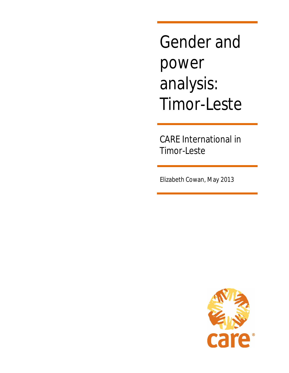Gender and power analysis: Timor-Leste

CARE International in Timor-Leste

Elizabeth Cowan, May 2013

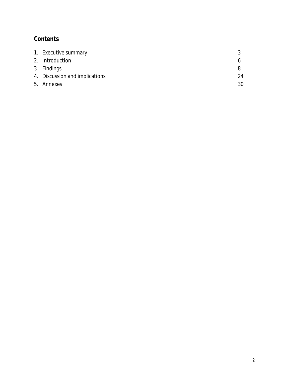## **Contents**

| 1. Executive summary           |    |
|--------------------------------|----|
| 2. Introduction                |    |
| 3. Findings                    |    |
| 4. Discussion and implications | 24 |
| 5. Annexes                     | 30 |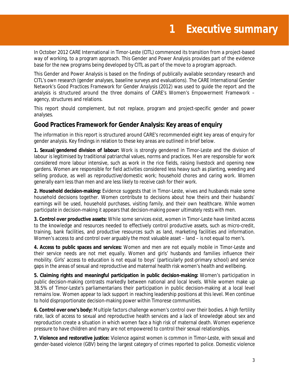In October 2012 CARE International in Timor-Leste (CITL) commenced its transition from a project-based way of working, to a program approach. This Gender and Power Analysis provides part of the evidence base for the new programs being developed by CITL as part of the move to a program approach.

This Gender and Power Analysis is based on the findings of publically available secondary research and CITL's own research (gender analyses, baseline surveys and evaluations). The CARE International Gender Network's *Good Practices Framework for Gender Analysis* (2012) was used to guide the report and the analysis is structured around the three domains of CARE's Women's Empowerment Framework – agency, structures and relations.

This report should complement, but not replace, program and project-specific gender and power analyses.

## **Good Practices Framework for Gender Analysis: Key areas of enquiry**

The information in this report is structured around CARE's recommended eight key areas of enquiry for gender analysis. Key findings in relation to these key areas are outlined in brief below.

**1. Sexual/gendered division of labour:** Work is strongly gendered in Timor-Leste and the division of labour is legitimised by traditional patriarchal values, norms and practices. Men are responsible for work considered more labour intensive, such as work in the rice fields, raising livestock and opening new gardens. Women are responsible for field activities considered less heavy such as planting, weeding and selling produce, as well as reproductive/domestic work; household chores and caring work. Women generally earn less than men and are less likely to receive cash for their work.

**2. Household decision-making:** Evidence suggests that in Timor-Leste, wives and husbands make some household decisions together. Women contribute to decisions about how theirs and their husbands' earnings will be used, household purchases, visiting family, and their own healthcare. While women *participate* in decision-making it appears that decision-making power ultimately rests with men.

**3. Control over productive assets:** While some services exist, women in Timor-Leste have limited access to the knowledge and resources needed to effectively control productive assets, such as micro-credit, training, bank facilities, and productive resources such as land, marketing facilities and information. Women's access to and control over arguably the most valuable asset – land – is not equal to men's.

**4. Access to public spaces and services:** Women and men are not equally mobile in Timor-Leste and their service needs are not met equally. Women and girls' husbands and families influence their mobility. Girls' access to education is not equal to boys' (particularly post-primary school) and service gaps in the areas of sexual and reproductive and maternal health risk women's health and wellbeing.

**5. Claiming rights and meaningful participation in public decision-making:** Women's participation in public decision-making contrasts markedly between national and local levels. While women make up 38.5% of Timor-Leste's parliamentarians their participation in public decision-making at a local level remains low. Women appear to lack support in reaching leadership positions at this level. Men continue to hold disproportionate decision-making power within Timorese communities.

**6. Control over one's body:** Multiple factors challenge women's control over their bodies. A high fertility rate, lack of access to sexual and reproductive health services and a lack of knowledge about sex and reproduction create a situation in which women face a high risk of maternal death. Women experience pressure to have children and many are not empowered to control their sexual relationships.

**7. Violence and restorative justice:** Violence against women is common in Timor-Leste, with sexual and gender-based violence (GBV) being the largest category of crimes reported to police. Domestic violence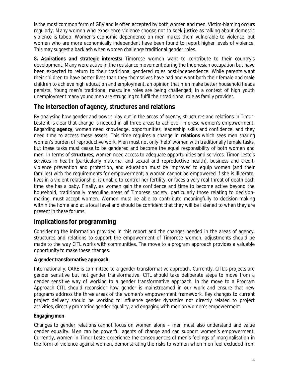is the most common form of GBV and is often accepted by both women and men. Victim-blaming occurs regularly. Many women who experience violence choose not to seek justice as talking about domestic violence is taboo. Women's economic dependence on men makes them vulnerable to violence, but women who are more economically independent have been found to report higher levels of violence. This may suggest a backlash when women challenge traditional gender roles.

**8. Aspirations and strategic interests:** Timorese women want to contribute to their country's development. Many were active in the resistance movement during the Indonesian occupation but have been expected to return to their traditional gendered roles post-independence. While parents want their children to have better lives than they themselves have had and want both their female and male children to achieve high education and employment, an opinion that men make better household heads persists. Young men's traditional masculine roles are being challenged; in a context of high youth unemployment many young men are struggling to fulfil their traditional role as family provider.

## **The intersection of agency, structures and relations**

By analysing how gender and power play out in the areas of agency, structures and relations in Timor-Leste it is clear that change is needed in all three areas to achieve Timorese women's empowerment. Regarding **agency**, women need knowledge, opportunities, leadership skills and confidence, and they need *time* to access these assets. This time requires a change in **relations** which sees men sharing women's burden of reproductive work. Men must not only 'help' women with traditionally female tasks, but these tasks must cease to be gendered and become the equal responsibility of both women and men. In terms of **structures**, women need access to adequate opportunities and services. Timor-Leste's services in health (particularly maternal and sexual and reproductive health), business and credit, violence prevention and protection, and education must be improved to equip women (and their families) with the requirements for empowerment; a woman cannot be empowered if she is illiterate, lives in a violent relationship, is unable to control her fertility, or faces a very real threat of death each time she has a baby. Finally, as women gain the confidence and time to become active beyond the household, traditionally masculine areas of Timorese society, particularly those relating to decisionmaking, must accept women. Women must be able to contribute meaningfully to decision-making within the home and at a local level and should be confident that they will be listened to when they are present in these forums.

## **Implications for programming**

Considering the information provided in this report and the changes needed in the areas of agency, structures and relations to support the empowerment of Timorese women, adjustments should be made to the way CITL works with communities. The move to a program approach provides a valuable opportunity to make these changes.

## **A gender transformative approach**

Internationally, CARE is committed to a *gender transformative* approach. Currently, CITL's projects are gender sensitive but not gender transformative. CITL should take deliberate steps to move from a gender sensitive way of working to a gender transformative approach. In the move to a Program Approach CITL should reconsider how gender is mainstreamed in our work and ensure that new programs address the three areas of the women's empowerment framework. Key changes to current project delivery should be working to influence gender dynamics not directly related to project activities, directly promoting gender equality, and engaging with men on women's empowerment.

## **Engaging men**

Changes to gender relations cannot focus on women alone – men must also understand and value gender equality. Men can be powerful agents of change and can support women's empowerment. Currently, women in Timor-Leste experience the consequences of men's feelings of marginalisation in the form of violence against women, demonstrating the risks to women when men feel excluded from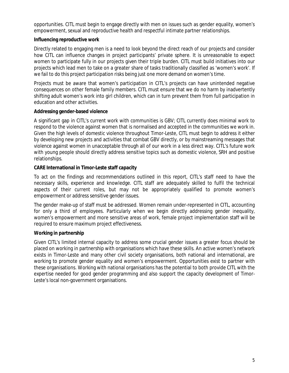opportunities. CITL must begin to engage directly with men on issues such as gender equality, women's empowerment, sexual and reproductive health and respectful intimate partner relationships.

#### **Influencing reproductive work**

Directly related to engaging men is a need to look beyond the direct reach of our projects and consider how CITL can influence changes in project participants' private sphere. It is unreasonable to expect women to participate fully in our projects given their triple burden. CITL must build initiatives into our projects which lead men to take on a greater share of tasks traditionally classified as 'women's work'. If we fail to do this project participation risks being just one more demand on women's time.

Projects must be aware that women's participation in CITL's projects can have unintended negative consequences on other female family members. CITL must ensure that we do no harm by inadvertently shifting adult women's work into girl children, which can in turn prevent them from full participation in education and other activities.

#### **Addressing gender-based violence**

A significant gap in CITL's current work with communities is GBV; CITL currently does minimal work to respond to the violence against women that is normalised and accepted in the communities we work in. Given the high levels of domestic violence throughout Timor-Leste, CITL must begin to address it either by developing new projects and activities that combat GBV directly, or by mainstreaming messages that violence against women in unacceptable through all of our work in a less direct way. CITL's future work with young people should directly address sensitive topics such as domestic violence, SRH and positive relationships.

#### **CARE International in Timor-Leste staff capacity**

To act on the findings and recommendations outlined in this report, CITL's staff need to have the necessary skills, experience and knowledge. CITL staff are adequately skilled to fulfil the technical aspects of their current roles, but may not be appropriately qualified to promote women's empowerment or address sensitive gender issues.

The gender make-up of staff must be addressed. Women remain under-represented in CITL, accounting for only a third of employees. Particularly when we begin directly addressing gender inequality, women's empowerment and more sensitive areas of work, female project implementation staff will be required to ensure maximum project effectiveness.

## **Working in partnership**

Given CITL's limited internal capacity to address some crucial gender issues a greater focus should be placed on working in partnership with organisations which have these skills. An active women's network exists in Timor-Leste and many other civil society organisations, both national and international, are working to promote gender equality and women's empowerment. Opportunities exist to partner with these organisations. Working with national organisations has the potential to both provide CITL with the expertise needed for good gender programming and also support the capacity development of Timor-Leste's local non-government organisations.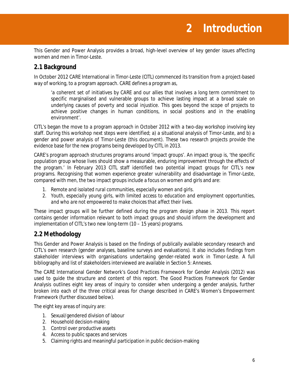This Gender and Power Analysis provides a broad, high-level overview of key gender issues affecting women and men in Timor-Leste.

## **2.1 Background**

In October 2012 CARE International in Timor-Leste (CITL) commenced its transition from a project-based way of working, to a program approach. CARE defines a program as,

'a coherent set of initiatives by CARE and our allies that involves a long term commitment to specific marginalised and vulnerable groups to achieve lasting impact at a broad scale on underlying causes of poverty and social injustice. This goes beyond the scope of projects to achieve positive changes in human conditions, in social positions and in the enabling environment'.

CITL's began the move to a program approach in October 2012 with a two-day workshop involving key staff. During this workshop next steps were identified; a) a situational analysis of Timor-Leste, and b) a gender and power analysis of Timor-Leste (this document). These two research projects provide the evidence base for the new programs being developed by CITL in 2013.

CARE's program approach structures programs around 'impact groups'. An impact group is, 'the specific population group whose lives should show a measurable, enduring improvement through the effects of the program.' In February 2013 CITL staff identified two potential impact groups for CITL's new programs. Recognising that women experience greater vulnerability and disadvantage in Timor-Leste, compared with men, the two impact groups include a focus on women and girls and are:

- 1. *Remote and isolated rural communities, especially women and girls.*
- 2. *Youth, especially young girls, with limited access to education and employment opportunities, and who are not empowered to make choices that affect their lives.*

These impact groups will be further defined during the program design phase in 2013. This report contains gender information relevant to both impact groups and should inform the development and implementation of CITL's two new long-term (10 – 15 years) programs.

## **2.2 Methodology**

This Gender and Power Analysis is based on the findings of publically available secondary research and CITL's own research (gender analyses, baseline surveys and evaluations). It also includes findings from stakeholder interviews with organisations undertaking gender-related work in Timor-Leste. A full bibliography and list of stakeholders interviewed are available in Section 5: Annexes.

The CARE International Gender Network's *Good Practices Framework for Gender Analysis* (2012) was used to guide the structure and content of this report. The *Good Practices Framework for Gender Analysis* outlines eight key areas of inquiry to consider when undergoing a gender analysis, further broken into each of the three critical areas for change described in CARE's Women's Empowerment Framework (further discussed below).

The eight key areas of inquiry are:

- 1. Sexual/gendered division of labour
- 2. Household decision-making
- 3. Control over productive assets
- 4. Access to public spaces and services
- 5. Claiming rights and meaningful participation in public decision-making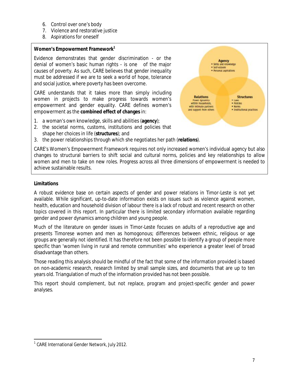- 6. Control over one's body
- 7. Violence and restorative justice
- 8. Aspirations for oneself

#### **Women's Empowerment Framework<sup>1</sup>**

Evidence demonstrates that gender discrimination - or the denial of women's basic human rights - is one of the major causes of poverty. As such, CARE believes that gender inequality must be addressed if we are to seek a world of hope, tolerance and social justice, where poverty has been overcome.

CARE understands that it takes more than simply including women in projects to make progress towards women's empowerment and gender equality. CARE defines women's empowerment as the **combined effect of changes** in:

- 1. a woman's own knowledge, skills and abilities (**agency**);
- 2. the societal norms, customs, institutions and policies that shape her choices in life (**structures**); and
- 3. the power relationships through which she negotiates her path (**relations**).

CARE's Women's Empowerment Framework requires not only increased women's individual *agency* but also changes to structural barriers to shift social and cultural norms, policies and key relationships to allow women and men to take on new roles. Progress across all three dimensions of empowerment is needed to achieve sustainable results.

#### **Limitations**

A robust evidence base on certain aspects of gender and power relations in Timor-Leste is not yet available. While significant, up-to-date information exists on issues such as violence against women, health, education and household division of labour there is a lack of robust and recent research on other topics covered in this report. In particular there is limited secondary information available regarding gender and power dynamics among children and young people.

Much of the literature on gender issues in Timor-Leste focuses on adults of a reproductive age and presents Timorese women and men as homogonous; differences between ethnic, religious or age groups are generally not identified. It has therefore not been possible to identify a group of people more specific than 'women living in rural and remote communities' who experience a greater level of broad disadvantage than others.

Those reading this analysis should be mindful of the fact that some of the information provided is based on non-academic research, research limited by small sample sizes, and documents that are up to ten years old. Triangulation of much of the information provided has not been possible.

This report should complement, but not replace, program and project-specific gender and power analyses.

Agency · Skills and knowledge<br>• Self-esteem · Personal aspirations

**Structures** 

· Institutional practices

· Pottcles

· Norms

**Relations** 

Power dynamics<br>within households,

with intimate partners

and support from others

 $\overline{a}$ <sup>1</sup> CARE International Gender Network, July 2012.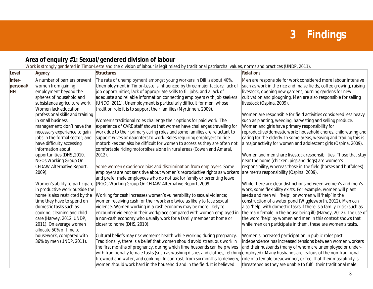# **3 Findings**

## **Area of enquiry #1: Sexual/gendered division of labour**

Work is strongly gendered in Timor-Leste and the division of labour is legitimised by traditional patriarchal values, norms and practices (UNDP, 2011).

| Level                            | <b>Agency</b>                                                                                                                                                                                                                                                                                                                                                                                                                                                                                                                                                                                                                                                                                                           | <b>Structures</b>                                                                                                                                                                                                                                                                                                                                                                                                                                                                                                                                                                                                                                                                                                                                                                                                                                                                                                                                                                                                                                                                                                                                                                                                                                                                                                                                                                                                                                                                                                                                                                                                                                            | <b>Relations</b>                                                                                                                                                                                                                                                                                                                                                                                                                                                                                                                                                                                                                                                                                                                                                                                                                                                                                                                                                                                                                                                                                                                                                                                                                                                                                                                                                                                                                                                             |
|----------------------------------|-------------------------------------------------------------------------------------------------------------------------------------------------------------------------------------------------------------------------------------------------------------------------------------------------------------------------------------------------------------------------------------------------------------------------------------------------------------------------------------------------------------------------------------------------------------------------------------------------------------------------------------------------------------------------------------------------------------------------|--------------------------------------------------------------------------------------------------------------------------------------------------------------------------------------------------------------------------------------------------------------------------------------------------------------------------------------------------------------------------------------------------------------------------------------------------------------------------------------------------------------------------------------------------------------------------------------------------------------------------------------------------------------------------------------------------------------------------------------------------------------------------------------------------------------------------------------------------------------------------------------------------------------------------------------------------------------------------------------------------------------------------------------------------------------------------------------------------------------------------------------------------------------------------------------------------------------------------------------------------------------------------------------------------------------------------------------------------------------------------------------------------------------------------------------------------------------------------------------------------------------------------------------------------------------------------------------------------------------------------------------------------------------|------------------------------------------------------------------------------------------------------------------------------------------------------------------------------------------------------------------------------------------------------------------------------------------------------------------------------------------------------------------------------------------------------------------------------------------------------------------------------------------------------------------------------------------------------------------------------------------------------------------------------------------------------------------------------------------------------------------------------------------------------------------------------------------------------------------------------------------------------------------------------------------------------------------------------------------------------------------------------------------------------------------------------------------------------------------------------------------------------------------------------------------------------------------------------------------------------------------------------------------------------------------------------------------------------------------------------------------------------------------------------------------------------------------------------------------------------------------------------|
| Inter-<br>personal/<br><b>HH</b> | A number of barriers prevent<br>women from gaining<br>employment beyond the<br>spheres of household and<br>subsistence agriculture work.<br>Women lack education,<br>professional skills and training<br>in small business<br>management; don't have the<br>necessary experience to gain<br>jobs in the formal sector; and<br>have difficulty accessing<br>information about<br>opportunities (DHS, 2010,<br>NGOs Working Group On<br>CEDAW Alternative Report,<br>2009).<br>in productive work outside the<br>home is also restricted by the<br>time they have to spend on<br>domestic tasks such as<br>cooking, cleaning and child<br>care (Harvey, 2012, UNDP,<br>2011). On average women<br>allocate 50% of time to | The rate of unemployment amongst young workers in Dili is about 40%.<br>Unemployment in Timor-Leste is influenced by three major factors: lack of<br>job opportunities; lack of appropriate skills to fill jobs; and a lack of<br>adequate and reliable information connecting employers with job seekers<br>(UNDO, 2011). Unemployment is particularly difficult for men, whose<br>tradition role it is to support their families (Myrtinnen, 2009).<br>Women's traditional roles challenge their options for paid work. The<br>experience of CARE staff shows that women have challenges travelling for<br>work due to their primary caring roles and some families are reluctant to<br>support wives or daughters to work. Roles requiring employers to ride<br>motorbikes can also be difficult for women to access as they are often not<br>comfortable riding motorbikes alone in rural areas (Cowan and Amaral,<br>$2012$ ).<br>Some women experience bias and discrimination from employers. Some<br>employers are not sensitive about women's reproductive rights as workers<br>and prefer male employees who do not ask for family or parenting leave<br>Women's ability to participate (NGOs Working Group On CEDAW Alternative Report, 2009).<br>Working for cash increases women's vulnerability to sexual violence;<br>women receiving cash for their work are twice as likely to face sexual<br>violence. Women working in a cash economy may be more likely to<br>encounter violence in their workplace compared with women employed in<br>a non-cash economy who usually work for a family member at home or<br>closer to home (DHS, 2010). | Men are responsible for work considered more labour intensive<br>such as work in the rice and maize fields, coffee growing, raising<br>livestock, opening new gardens, burning gardens for new<br>cultivation and ploughing. Men are also responsible for selling<br>livestock (Ospina, 2009).<br>Women are responsible for field activities considered less heavy<br>such as planting, weeding, harvesting and selling produce.<br>Women and girls have primary responsibility for<br>reproductive/domestic work; household chores, childrearing and<br>caring for the elderly. In some areas, weaving and trading tais is<br>a major activity for women and adolescent girls (Ospina, 2009).<br>Women and men share livestock responsibilities. Those that stay<br>near the home (chicken, pigs and dogs) are women's<br>responsibility, whereas those in the field (horses and buffaloes)<br>are men's responsibility (Ospina, 2009).<br>While there are clear distinctions between women's and men's<br>work, some flexibility exists. For example, women will plant<br>seeds and men will 'help', or women will 'help' in the<br>construction of a water pond (Wigglesworth, 2012). Men can<br>also 'help' with domestic tasks if there is a family crisis (such as<br>the main female in the house being ill) (Harvey, 2012). The use of<br>the word 'help' by women and men in this context shows that<br>while men can participate in them, these are women's tasks. |
|                                  | housework, compared with<br>36% by men (UNDP, 2011).                                                                                                                                                                                                                                                                                                                                                                                                                                                                                                                                                                                                                                                                    | Cultural beliefs may risk women's health while working during pregnancy.<br>Traditionally, there is a belief that women should avoid strenuous work in<br>the first months of pregnancy, during which time husbands can help wives<br>with traditionally female tasks (such as washing dishes and clothes, fetching employed). Many husbands are jealous of the non-traditional<br>firewood and water, and cooking). In contrast, from six months to delivery,<br>women should work hard in the household and in the field. It is believed                                                                                                                                                                                                                                                                                                                                                                                                                                                                                                                                                                                                                                                                                                                                                                                                                                                                                                                                                                                                                                                                                                                   | Women's increased participation in public roles post-<br>independence has increased tensions between women workers<br>and their husbands (many of whom are unemployed or under-<br>role of a female breadwinner, or feel that their masculinity is<br>threatened as they are unable to fulfil their traditional male                                                                                                                                                                                                                                                                                                                                                                                                                                                                                                                                                                                                                                                                                                                                                                                                                                                                                                                                                                                                                                                                                                                                                         |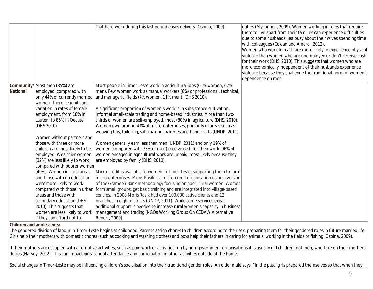|          |                                                                                                                                                                                                                                                                                                                                                                                                                                                                                                                                                                                                                                                                         | that hard work during this last period eases delivery (Ospina, 2009).                                                                                                                                                                                                                                                                                                                                                                                                                                                                                                                                                                                                                                                                                                                                                                                                                                                                                                                                                                                                                                                                                                                                                                                                                                                                                                                                                                                                                                                                  | duties (Myrtinnen, 2009). Women working in roles that require<br>them to live apart from their families can experience difficulties<br>due to some husbands' jealousy about their wives spending time<br>with colleagues (Cowan and Amaral, 2012).<br>Women who work for cash are more likely to experience physical<br>violence than women who are unemployed or don't receive cash<br>for their work (DHS, 2010). This suggests that women who are<br>more economically independent of their husbands experience<br>violence because they challenge the traditional norm of women's<br>dependence on men. |
|----------|-------------------------------------------------------------------------------------------------------------------------------------------------------------------------------------------------------------------------------------------------------------------------------------------------------------------------------------------------------------------------------------------------------------------------------------------------------------------------------------------------------------------------------------------------------------------------------------------------------------------------------------------------------------------------|----------------------------------------------------------------------------------------------------------------------------------------------------------------------------------------------------------------------------------------------------------------------------------------------------------------------------------------------------------------------------------------------------------------------------------------------------------------------------------------------------------------------------------------------------------------------------------------------------------------------------------------------------------------------------------------------------------------------------------------------------------------------------------------------------------------------------------------------------------------------------------------------------------------------------------------------------------------------------------------------------------------------------------------------------------------------------------------------------------------------------------------------------------------------------------------------------------------------------------------------------------------------------------------------------------------------------------------------------------------------------------------------------------------------------------------------------------------------------------------------------------------------------------------|-------------------------------------------------------------------------------------------------------------------------------------------------------------------------------------------------------------------------------------------------------------------------------------------------------------------------------------------------------------------------------------------------------------------------------------------------------------------------------------------------------------------------------------------------------------------------------------------------------------|
| National | <b>Community/</b> Most men (85%) are<br>employed, compared with<br>only 44% of currently married<br>women. There is significant<br>variation in rates of female<br>employment, from 18% in<br>Lautem to 85% in Oecussi<br>(DHS 2010).<br>Women without partners and<br>those with three or more<br>children are most likely to be<br>employed. Wealthier women<br>(32%) are less likely to work<br>compared with poorer women<br>(49%). Women in rural areas<br>and those with no education<br>were more likely to work<br>areas and those with<br>secondary education (DHS<br>2010). This suggests that<br>women are less likely to work<br>if they can afford not to. | Most people in Timor-Leste work in agricultural jobs (61% women, 67%<br>men). Few women work as manual workers (6%) or professional, technical,<br>and managerial fields (7% women, 11% men). (DHS 2010).<br>A significant proportion of women's work is in subsistence cultivation,<br>informal small-scale trading and home-based industries. More than two-<br>thirds of women are self-employed, most (80%) in agriculture (DHS, 2010).<br>Women own around 43% of micro-enterprises, primarily in areas such as<br>weaving tais, tailoring, salt-making, bakeries and handicrafts (UNDP, 2011).<br>Women generally earn less than men (UNDP, 2011) and only 19% of<br>women (compared with 33% of men) receive cash for their work. 96% of<br>women engaged in agricultural work are unpaid, most likely because they<br>are employed by family (DHS, 2010).<br>Micro-credit is available to women in Timor-Leste, supporting them to form<br>micro-enterprises. Moris Rasik is a micro-credit organisation using a version<br>of the Grameen Bank methodology focusing on poor, rural women. Women<br>compared with those in urban form small groups, get basic training and are integrated into village-based<br>centres. In 2008 Moris Rasik had over 100,000 active clients and 12<br>branches in eight districts (UNDP, 2011). While some services exist<br>additional support is needed to increase rural women's capacity in business<br>management and trading (NGOs Working Group On CEDAW Alternative<br>Report, 2009). |                                                                                                                                                                                                                                                                                                                                                                                                                                                                                                                                                                                                             |

The gendered division of labour in Timor-Leste begins at childhood. Parents assign chores to children according to their sex, preparing them for their gendered roles in future married life. Girls help their mothers with domestic chores (such as cooking and washing clothes) and boys help their fathers in caring for animals, working in the fields or fishing (Ospina, 2009).

If their mothers are occupied with alternative activities, such as paid work or activities run by non-government organisations it is usually girl children, not men, who take on their mothers' duties (Harvey, 2012). This can impact girls' school attendance and participation in other activities outside of the home.

Social changes in Timor-Leste may be influencing children's socialisation into their traditional gender roles. An older male says, "In the past, girls prepared themselves so that when they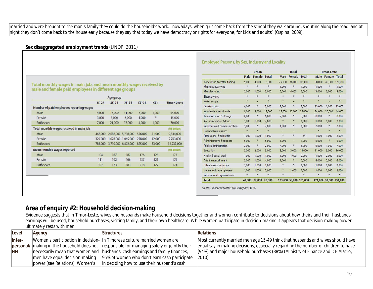married and were brought to the man's family they could do the household's work… nowadays, when girls come back from the school they walk around, shouting along the road, and at night they don't come back to the house early because they say that today we have democracy or rights for everyone, for kids and adults" (Ospina, 2009).

#### **Sex disaggregated employment trends** (UNDP, 2011)

male and female paid employees in different age groups

|                                          | $15 - 24$ | $25 - 34$ | $35 - 54$           | $55 - 64$ | $65+$  | <b>Timor-Leste</b> |
|------------------------------------------|-----------|-----------|---------------------|-----------|--------|--------------------|
| Number of paid employees reporting wages |           |           |                     |           |        |                    |
| Male                                     | 4,000     | 16,000    | 31,000              | 3,000     | 1,000  | 55,000             |
| Female                                   | 3,000     | 5,000     | 6,000               | 1,000     | ×      | 15,000             |
| <b>Both sexes</b>                        | 7,000     | 21,000    | 37,000              | 4,000     | 1,000  | 70,000             |
| Total monthly wages received in main job |           |           |                     |           |        | (US dollars)       |
| Male                                     | 467,000   |           | 2,682,000 5,738,000 | 576,000   | 71,000 | 9,534,000          |
| Female                                   | 320,000   |           | 1,028,000 1,065,000 | 278,000   | 12,000 | 2,703,000          |
| <b>Both sexes</b>                        | 786,000   |           | 3,710,000 6,802,000 | 855,000   | 83,000 | 12,237,000         |
| <b>Mean monthly wages reported</b>       |           |           |                     |           |        | (US dollars)       |
| Male                                     | 104       | 167       | 187                 | 176       | 128    | 173                |
| Female                                   | 111       | 192       | 166                 | 437       | 121    | 176                |
| <b>Both sexes</b>                        | 107       | 173       | 183                 | 218       | 127    | 174                |

Total monthly wages in main job, and mean monthly wages received by

#### **Employed Persons, by Sex, Industry and Locality**

|                                     |        | <b>Urban</b> |               |        | <b>Rural</b> |                          |                        | <b>Timor-Leste</b> |              |
|-------------------------------------|--------|--------------|---------------|--------|--------------|--------------------------|------------------------|--------------------|--------------|
|                                     | Male   | Female       | <b>Total</b>  | Male   | Female       | <b>Total</b>             | Male                   | Female             | <b>Total</b> |
| Agriculture, forestry, fishing      | 9,000  | 4,000        | 13,000        | 79,000 | 36.000       | 115,000                  | 88.000                 | 40.000             | 128,000      |
| Mining & guarrying                  | ¥      |              | ₩             | 1,000  | Ņ            | 1,000                    | 1,000                  | ¥                  | 1,000        |
| Manufacturing                       | 2,000  | 1,000        | 3,000         | 2,000  | 4,000        | 5,000                    | 3,000                  | 5,000              | 8,000        |
| Electricity etc.                    | ¥      |              | $\frac{M}{N}$ |        | ¥            |                          |                        |                    |              |
| Water supply                        | ¥      | ٠            | ×             | ٠      | ٠            | ۰                        | $\frac{M}{N}$          |                    | ¥            |
| Construction                        | 6,000  | ۰            | 7,000         | 7,000  | H.           | 7,000                    | 13,000                 | 1,000              | 13,000       |
| Wholesale & retail trade            | 9.000  | 8.000        | 17,000        | 15,000 | 12,000       | 27,000                   | 24,000                 | 20,000             | 44,000       |
| <b>Transportation &amp; storage</b> | 6,000  | ÷            | 6,000         | 2,000  | 부            | 3,000                    | 8,000                  |                    | 8,000        |
| Accommodation & food                | 1,000  | 1,000        | 2,000         | ٠      | Ħ.           | 1,000                    | 1,000                  | 1,000              | 2,000        |
| Information & communication         | 1,000  |              | 2,000         | 1,000  | ₩            | 1,000                    | 2,000                  | ₩                  | 2,000        |
| Financial & insurance               | ×      | ۰            | ¥.            | ٠      | ٠            | $\overline{\phantom{a}}$ | ₩                      | ٠                  | ¥            |
| Professional & scientific           | 1,000  | 1,000        | 1,000         | ٠      | ¥.           | $2*$                     | 1,000                  | 1,000              | 2,000        |
| Administrative & support            | 5,000  | ۰            | 5,000         | 1,000  | ц.           | 1,000                    | 6,000                  | ¥                  | 6,000        |
| Public administration               | 2,000  | ۰            | 2,000         | 4,000  | ÷            | 5.000                    | 6.000                  | 1.000              | 7,000        |
| Education                           | 3,000  | 2,000        | 5,000         | 8,000  | 3,000        | 11,000                   | 11,000                 | 5,000              | 16,000       |
| Health & social work                | 1,000  | 1.000        | 1.000         | 1,000  | 1.000        | 2,000                    | 1.000                  | 2,000              | 3,000        |
| Arts & entertainment                | 3,000  | 1,000        | 4,000         | 1,000  | 黃            | 2,000                    | 4,000                  | 2,000              | 6,000        |
| Other service activities            | 1,000  | 1,000        | 1,000         | ٠      | H.           | 1,000                    | 1,000                  | 1,000              | 2,000        |
| Households as employers             | 1,000  | 1,000        | 2,000         | ۰      | 1.000        | 1,000                    | 1,000                  | 1,000              | 2,000        |
| International organizations         | ¥      | ٠            | ¥             | ٠      |              | ¥                        | ₩                      | ¥                  | ¥.           |
| <b>Total</b>                        | 48,000 | 22,000       | 70,000        |        |              | 123,000 58,000 181,000   | 171,000 80,000 251,000 |                    |              |

**Area of enquiry #2: Household decision-making**

Evidence suggests that in Timor-Leste, wives and husbands make household decisions together and women contribute to decisions about how theirs and their husbands' earnings will be used, household purchases, visiting family, and their own healthcare. While women participate in decision-making it appears that decision-making power ultimately rests with men.

| Level     | Agency                         | <b>Structures</b>                                                                           | <b>Relations</b>                                                                   |
|-----------|--------------------------------|---------------------------------------------------------------------------------------------|------------------------------------------------------------------------------------|
| Inter-    |                                | Women's participation in decision- In Timorese culture married women are                    | Most currently married men age 15-49 think that husbands and wives should have     |
|           |                                | personal/ making in the household does not responsible for managing solely or jointly their | equal say in making decisions, especially regarding the number of children to have |
| <b>HH</b> |                                | necessarily mean that women and  husbands' cash earnings and family finances;               | (94%) and major household purchases (88%) (Ministry of Finance and ICF Macro,      |
|           | men have equal decision-making | 95% of women who don't earn cash participate                                                | $ 2010\rangle$ .                                                                   |
|           | power (see Relations). Women's | in deciding how to use their husband's cash                                                 |                                                                                    |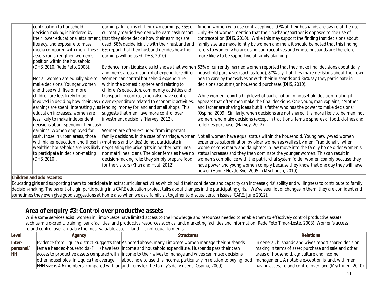|                                                                                                                                                                                                                                                                                                                                                                                                                                                                                                                                                                          | Among women who use contraceptives, 97% of their husbands are aware of the use.                                                                                                                                                                                                                                                                                                                                                                                                                                                                                                                                                                                                                                                                                                                                                      |
|--------------------------------------------------------------------------------------------------------------------------------------------------------------------------------------------------------------------------------------------------------------------------------------------------------------------------------------------------------------------------------------------------------------------------------------------------------------------------------------------------------------------------------------------------------------------------|--------------------------------------------------------------------------------------------------------------------------------------------------------------------------------------------------------------------------------------------------------------------------------------------------------------------------------------------------------------------------------------------------------------------------------------------------------------------------------------------------------------------------------------------------------------------------------------------------------------------------------------------------------------------------------------------------------------------------------------------------------------------------------------------------------------------------------------|
|                                                                                                                                                                                                                                                                                                                                                                                                                                                                                                                                                                          | Only 9% of women mention that their husband/partner is opposed to the use of                                                                                                                                                                                                                                                                                                                                                                                                                                                                                                                                                                                                                                                                                                                                                         |
|                                                                                                                                                                                                                                                                                                                                                                                                                                                                                                                                                                          | contraception (DHS, 2010). While this may support the finding that decisions about                                                                                                                                                                                                                                                                                                                                                                                                                                                                                                                                                                                                                                                                                                                                                   |
|                                                                                                                                                                                                                                                                                                                                                                                                                                                                                                                                                                          | family size are made jointly by women and men, it should be noted that this finding                                                                                                                                                                                                                                                                                                                                                                                                                                                                                                                                                                                                                                                                                                                                                  |
| 6% report that their husband decides how their                                                                                                                                                                                                                                                                                                                                                                                                                                                                                                                           | refers to women who are using contraceptives and whose husbands are therefore                                                                                                                                                                                                                                                                                                                                                                                                                                                                                                                                                                                                                                                                                                                                                        |
| earnings will be used (DHS, 2010).                                                                                                                                                                                                                                                                                                                                                                                                                                                                                                                                       | more likely to be supportive of family planning.                                                                                                                                                                                                                                                                                                                                                                                                                                                                                                                                                                                                                                                                                                                                                                                     |
|                                                                                                                                                                                                                                                                                                                                                                                                                                                                                                                                                                          |                                                                                                                                                                                                                                                                                                                                                                                                                                                                                                                                                                                                                                                                                                                                                                                                                                      |
|                                                                                                                                                                                                                                                                                                                                                                                                                                                                                                                                                                          | Evidence from Liquica district shows that women 63% of currently married women reported that they make final decisions about daily                                                                                                                                                                                                                                                                                                                                                                                                                                                                                                                                                                                                                                                                                                   |
|                                                                                                                                                                                                                                                                                                                                                                                                                                                                                                                                                                          | household purchases (such as food), 87% say that they make decisions about their own                                                                                                                                                                                                                                                                                                                                                                                                                                                                                                                                                                                                                                                                                                                                                 |
|                                                                                                                                                                                                                                                                                                                                                                                                                                                                                                                                                                          | health care by themselves or with their husbands and 86% say they participate in                                                                                                                                                                                                                                                                                                                                                                                                                                                                                                                                                                                                                                                                                                                                                     |
|                                                                                                                                                                                                                                                                                                                                                                                                                                                                                                                                                                          | decisions about major household purchases (DHS, 2010).                                                                                                                                                                                                                                                                                                                                                                                                                                                                                                                                                                                                                                                                                                                                                                               |
| children's education, community activities and                                                                                                                                                                                                                                                                                                                                                                                                                                                                                                                           |                                                                                                                                                                                                                                                                                                                                                                                                                                                                                                                                                                                                                                                                                                                                                                                                                                      |
| transport. In contrast, men also have control                                                                                                                                                                                                                                                                                                                                                                                                                                                                                                                            | While women report a high level of participation in household decision-making it                                                                                                                                                                                                                                                                                                                                                                                                                                                                                                                                                                                                                                                                                                                                                     |
|                                                                                                                                                                                                                                                                                                                                                                                                                                                                                                                                                                          | appears that often men make the final decisions. One young man explains, "Mother                                                                                                                                                                                                                                                                                                                                                                                                                                                                                                                                                                                                                                                                                                                                                     |
|                                                                                                                                                                                                                                                                                                                                                                                                                                                                                                                                                                          | and father are sharing ideas but it is father who has the power to make decisions"                                                                                                                                                                                                                                                                                                                                                                                                                                                                                                                                                                                                                                                                                                                                                   |
| suggests that men have more control over                                                                                                                                                                                                                                                                                                                                                                                                                                                                                                                                 | (Ospina, 2009). Similarly, when decisions are not shared it is more likely to be men, not                                                                                                                                                                                                                                                                                                                                                                                                                                                                                                                                                                                                                                                                                                                                            |
| investment decisions (Harvey, 2012).                                                                                                                                                                                                                                                                                                                                                                                                                                                                                                                                     | women, who make decisions (except in traditional female spheres of food, clothes and                                                                                                                                                                                                                                                                                                                                                                                                                                                                                                                                                                                                                                                                                                                                                 |
|                                                                                                                                                                                                                                                                                                                                                                                                                                                                                                                                                                          | toiletries purchase) (Harvey, 2012).                                                                                                                                                                                                                                                                                                                                                                                                                                                                                                                                                                                                                                                                                                                                                                                                 |
| Women are often excluded from important                                                                                                                                                                                                                                                                                                                                                                                                                                                                                                                                  |                                                                                                                                                                                                                                                                                                                                                                                                                                                                                                                                                                                                                                                                                                                                                                                                                                      |
| family decisions. In the case of marriage, women                                                                                                                                                                                                                                                                                                                                                                                                                                                                                                                         | Not all women have equal status within the household. Young newly-wed women                                                                                                                                                                                                                                                                                                                                                                                                                                                                                                                                                                                                                                                                                                                                                          |
|                                                                                                                                                                                                                                                                                                                                                                                                                                                                                                                                                                          | experience subordination by older women as well as by men. Traditionally, when                                                                                                                                                                                                                                                                                                                                                                                                                                                                                                                                                                                                                                                                                                                                                       |
|                                                                                                                                                                                                                                                                                                                                                                                                                                                                                                                                                                          | women's sons marry and daughters-in-law move into the family home older women's                                                                                                                                                                                                                                                                                                                                                                                                                                                                                                                                                                                                                                                                                                                                                      |
| nor matrilineal clans. The older females have no                                                                                                                                                                                                                                                                                                                                                                                                                                                                                                                         | status increases and they then dominate the younger women. This can result in                                                                                                                                                                                                                                                                                                                                                                                                                                                                                                                                                                                                                                                                                                                                                        |
| decision-making role; they simply prepare food                                                                                                                                                                                                                                                                                                                                                                                                                                                                                                                           | women's compliance with the patriarchal system (older women comply because they                                                                                                                                                                                                                                                                                                                                                                                                                                                                                                                                                                                                                                                                                                                                                      |
|                                                                                                                                                                                                                                                                                                                                                                                                                                                                                                                                                                          | have power and young women comply because they know that one day they will have                                                                                                                                                                                                                                                                                                                                                                                                                                                                                                                                                                                                                                                                                                                                                      |
|                                                                                                                                                                                                                                                                                                                                                                                                                                                                                                                                                                          | power (Hanne Hovde Bye, 2005 in Myrtinnen, 2010).                                                                                                                                                                                                                                                                                                                                                                                                                                                                                                                                                                                                                                                                                                                                                                                    |
| contribution to household<br>decision-making is hindered by<br>literacy, and exposure to mass<br>media compared with men. These<br>assets can strengthen women's<br>position within the household<br>(DHS, 2010, Rede Feto, 2008).<br>Not all women are equally able to<br>make decisions. Younger women<br>and those with five or more<br>children are less likely to be<br>education increases, women are<br>less likely to make independent<br>earnings. Women employed for<br>cash, those in urban areas, those<br>to participate in decision-making<br>(DHS, 2010). | earnings. In terms of their own earnings, 36% of<br>currently married women who earn cash report<br>their lower educational attainment, that they alone decide how their earnings are<br>used, 58% decide jointly with their husband and<br>and men's areas of control of expenditure differ.<br>Women can control household expenditure<br>within the domestic sphere and relating to<br>involved in deciding how their cash over expenditure related to economic activities,<br>earnings are spent. Interestingly, as lending, money for land and small shops. This<br>decisions about spending their cash<br>with higher education, and those in (mothers and brides) do not participate in<br>wealthier households are less likely negotiating the bride gifts in neither patrilineal<br>for the visitors (Khan and Hyati 2012). |

Educating girls and supporting them to participate in extracurricular activities which build their confidence and capacity can increase girls' ability and willingness to contribute to family decision-making. The parent of a girl participating in a CARE education project talks about changes in the participating girls, "We've seen lot of changes in them, they are confident and sometimes they even give good suggestions at home also when we as a family sit together to discuss certain issues (CARE, June 2012).

## **Area of enquiry #3: Control over productive assets**

While some services exist, women in Timor-Leste have limited access to the knowledge and resources needed to enable them to effectively control productive assets, such as micro-credit, training, bank facilities, and productive resources such as land, marketing facilities and information (Rede Feto Timor-Leste, 2008). Women's access to and control over arguably the most valuable asset – land – is not equal to men's.

| Level     | Agency                                   | <b>Structures</b>                                                                                                         | <b>Relations</b>                                          |
|-----------|------------------------------------------|---------------------------------------------------------------------------------------------------------------------------|-----------------------------------------------------------|
| Inter-    |                                          | Evidence from Liquica district suggests that As noted above, many Timorese women manage their husbands'                   | In general, husbands and wives report shared decision-    |
| personal/ |                                          | female headed-households (FHH) have less income and household expenditure. Husbands pass their cash                       | making in terms of asset purchase and sale and other      |
| HH        |                                          | access to productive assets compared with lincome to their wives to manage and wives can make decisions                   | areas of household, agriculture and income                |
|           | other households. In Liquica the average | about how to use this income, particularly in relation to buying food   management. A notable exception is land, with men |                                                           |
|           |                                          | FHH size is 4.6 members, compared with an and items for the family's daily needs (Ospina, 2009).                          | having access to and control over land (Myrttinen, 2010). |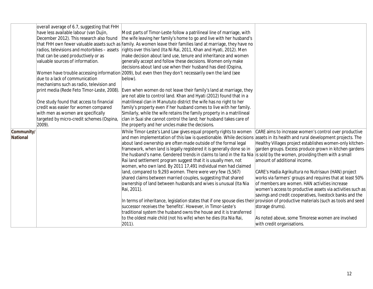|                 | overall average of 6.7, suggesting that FHH |                                                                                                                              |                                                            |
|-----------------|---------------------------------------------|------------------------------------------------------------------------------------------------------------------------------|------------------------------------------------------------|
|                 | have less available labour (van Dujin,      | Most parts of Timor-Leste follow a patrilineal line of marriage, with                                                        |                                                            |
|                 | December 2012). This research also found    | the wife leaving her family's home to go and live with her husband's                                                         |                                                            |
|                 |                                             | that FHH own fewer valuable assets such as family. As women leave their families land at marriage, they have no              |                                                            |
|                 |                                             | radios, televisions and motorbikes – assets rights over this land (Ita Ni Rai, 2011, Khan and Hyati, 2012). Men              |                                                            |
|                 | that can be used productively or as         | make decision about land use, tenure and inheritance and women                                                               |                                                            |
|                 | valuable sources of information.            | generally accept and follow these decisions. Women only make                                                                 |                                                            |
|                 |                                             | decisions about land use when their husband has died (Ospina,                                                                |                                                            |
|                 |                                             | Women have trouble accessing information 2009), but even then they don't necessarily own the land (see                       |                                                            |
|                 | due to a lack of communication              | below).                                                                                                                      |                                                            |
|                 | mechanisms such as radio, television and    |                                                                                                                              |                                                            |
|                 | print media (Rede Feto Timor-Leste, 2008).  | Even when women do not leave their family's land at marriage, they                                                           |                                                            |
|                 |                                             | are not able to control land. Khan and Hyati (2012) found that in a                                                          |                                                            |
|                 | One study found that access to financial    | matrilineal clan in Manututo district the wife has no right to her                                                           |                                                            |
|                 | credit was easier for women compared        | family's property even if her husband comes to live with her family.                                                         |                                                            |
|                 | with men as women are specifically          | Similarly, while the wife retains the family property in a matrilineal                                                       |                                                            |
|                 | targeted by micro-credit schemes (Ospina,   | clan in Suai she cannot control the land; her husband takes care of                                                          |                                                            |
|                 | 2009).                                      | the property and her uncles make the decisions.                                                                              |                                                            |
| Community/      |                                             | While Timor-Leste's Land Law gives equal property rights to women                                                            | CARE aims to increase women's control over productive      |
| <b>National</b> |                                             | and men implementation of this law is questionable. While decisions assets in its health and rural development projects. The |                                                            |
|                 |                                             | about land ownership are often made outside of the formal legal                                                              | Healthy Villages project establishes women-only kitchen-   |
|                 |                                             | framework, when land is legally registered it is generally done so in                                                        | garden groups. Excess produce grown in kitchen gardens     |
|                 |                                             | the husband's name. Gendered trends in claims to land in the Ita Nia is sold by the women, providing them with a small       |                                                            |
|                 |                                             | Rai land settlement program suggest that it is usually men, not                                                              | amount of additional income.                               |
|                 |                                             | women, who own land. By 2011 17,491 individual men had claimed                                                               |                                                            |
|                 |                                             | land, compared to 9,293 women. There were very few (5,567)                                                                   | CARE's Hadia Agrikultura no Nutrisaun (HAN) project        |
|                 |                                             | shared claims between married couples, suggesting that shared                                                                | works via farmers' groups and requires that at least 50%   |
|                 |                                             | ownership of land between husbands and wives is unusual (Ita Nia                                                             | of members are women. HAN activities increase              |
|                 |                                             | Rai, 2011).                                                                                                                  | women's access to productive assets via activities such as |
|                 |                                             |                                                                                                                              | savings and credit cooperatives, livestock banks and the   |
|                 |                                             | In terms of inheritance, legislation states that if one spouse dies their                                                    | provision of productive materials (such as tools and seed  |
|                 |                                             | successor receives the 'benefits'. However, in Timor-Leste's                                                                 | storage drums).                                            |
|                 |                                             | traditional system the husband owns the house and it is transferred                                                          |                                                            |
|                 |                                             | to the oldest male child (not his wife) when he dies (Ita Nia Rai,                                                           | As noted above, some Timorese women are involved           |
|                 |                                             | $ 2011$ ).                                                                                                                   | with credit organisations.                                 |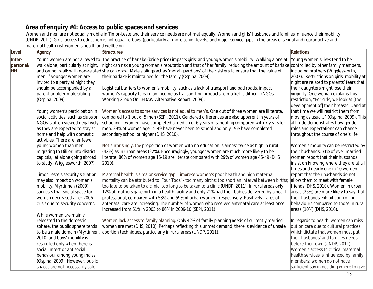## **Area of enquiry #4: Access to public spaces and services**

Women and men are not equally mobile in Timor-Leste and their service needs are not met equally. Women and girls' husbands and families influence their mobility (UNDP, 2011). Girls' access to education is not equal to boys' (particularly at more senior levels) and major service gaps in the areas of sexual and reproductive and maternal health risk women's health and wellbeing.

| Level               | <b>Agency</b>                                                  | <b>Structures</b>                                                                                                                                                                                                                                                               | <b>Relations</b>                                                          |
|---------------------|----------------------------------------------------------------|---------------------------------------------------------------------------------------------------------------------------------------------------------------------------------------------------------------------------------------------------------------------------------|---------------------------------------------------------------------------|
| Inter-<br>personal/ | walk alone, particularly at night,                             | Young women are not allowed to The practice of barlake (bride price) impacts girls' and young women's mobility. Walking alone at<br>night can risk a young woman's reputation and that of her family, reducing the amount of <i>barlake</i> controlled by other family members, | Young women's lives tend to be                                            |
| HH                  |                                                                | and cannot walk with non-related she can draw. Male siblings act as 'moral guardians' of their sisters to ensure that the value of                                                                                                                                              | including brothers (Wigglesworth,                                         |
|                     | men. If younger women are                                      | their barlake is maintained for the family (Ospina, 2009).                                                                                                                                                                                                                      | 2007). Restrictions on girls' mobility at                                 |
|                     | invited to a party at night they                               |                                                                                                                                                                                                                                                                                 | night are related to parents' fears that                                  |
|                     | should be accompanied by a<br>parent or older male sibling     | Logistical barriers to women's mobility, such as a lack of transport and bad roads, impact<br>women's capacity to earn an income as transporting products to market is difficult (NGOs                                                                                          | their daughters might lose their<br>virginity. One woman explains this    |
|                     | (Ospina, 2009).                                                | Working Group On CEDAW Alternative Report, 2009).                                                                                                                                                                                                                               | restriction, "For girls, we look at [the                                  |
|                     |                                                                |                                                                                                                                                                                                                                                                                 | development of] their breasts  and at                                     |
|                     | Young women's participation in                                 | Women's access to some services is not equal to men's. One out of three women are illiterate,                                                                                                                                                                                   | that time we will restrict them from                                      |
|                     | social activities, such as clubs or                            | compared to 1 out of 5 men (SEPI, 2011). Gendered differences are also apparent in years of                                                                                                                                                                                     | moving as usual" (Ospina, 2009). This                                     |
|                     | NGOs is often viewed negatively                                | schooling – women have completed a median of 6 years of schooling compared with 7 years for                                                                                                                                                                                     | attitude demonstrates how gender                                          |
|                     | as they are expected to stay at<br>home and help with domestic | men. 29% of women age 15-49 have never been to school and only 19% have completed<br>secondary school or higher (DHS, 2010).                                                                                                                                                    | roles and expectations can change<br>throughout the course of one's life. |
|                     | activities. There are far fewer                                |                                                                                                                                                                                                                                                                                 |                                                                           |
|                     | young women than men                                           | Not surprisingly, the proportion of women with no education is almost twice as high in rural                                                                                                                                                                                    | Women's mobility can be restricted by                                     |
|                     | migrating to Dili or into district                             | (42%) as in urban areas (22%). Encouragingly, younger women are much more likely to be                                                                                                                                                                                          | their husbands. 31% of ever-married                                       |
|                     | capitals, let alone going abroad                               | literate; 86% of women age 15-19 are literate compared with 29% of women age 45-49 (DHS,                                                                                                                                                                                        | women report that their husbands                                          |
|                     | to study (Wigglesworth, 2007).                                 | $ 2010$ ).                                                                                                                                                                                                                                                                      | insist on knowing where they are at all                                   |
|                     | Timor-Leste's security situation                               | Maternal health is a major service gap. Timorese women's poor health and high maternal                                                                                                                                                                                          | times and nearly one in 10 women<br>report that their husbands do not     |
|                     | may also impact on women's                                     | mortality can be attributed to 'Four Toos' - too many births; too short an interval between births;                                                                                                                                                                             | allow them to meet with female                                            |
|                     | mobility. Myrtinnen (2009)                                     | too late to be taken to a clinic; too long to be taken to a clinic (UNDP, 2011). In rural areas only                                                                                                                                                                            | friends (DHS, 2010). Women in urban                                       |
|                     | suggests that social space for                                 | 12% of mothers gave birth in a health facility and only 21% had their babies delivered by a health                                                                                                                                                                              | areas (25%) are more likely to say that                                   |
|                     | women decreased after 2006                                     | professional, compared with 53% and 59% of urban women, respectively. Positively, rates of                                                                                                                                                                                      | their husbands exhibit controlling                                        |
|                     | crisis due to security concerns.                               | antenatal care are increasing. The number of women who received antenatal care at least once                                                                                                                                                                                    | behaviours compared to those in rural                                     |
|                     | While women are mainly                                         | increased from 61% in 2003 to 86% in 2009-10 (SEPI, 2011).                                                                                                                                                                                                                      | areas (10%) (DHS, 2010).                                                  |
|                     | relegated to the domestic                                      | Women lack access to family planning. Only 42% of family planning needs of currently married                                                                                                                                                                                    | In regards to health, women can miss                                      |
|                     | sphere, the public sphere tends                                | women are met (DHS, 2010). Perhaps reflecting this unmet demand, there is evidence of unsafe                                                                                                                                                                                    | out on care due to cultural practices                                     |
|                     | to be a male domain (Myrtinnen,                                | abortion techniques, particularly in rural areas (UNDP, 2011).                                                                                                                                                                                                                  | which dictate that women must put                                         |
|                     | 2010) and boys' mobility is                                    |                                                                                                                                                                                                                                                                                 | their husbands' and families needs                                        |
|                     | restricted only when there is<br>social unrest or antisocial   |                                                                                                                                                                                                                                                                                 | before their own (UNDP, 2011).<br>Women's access to critical maternal     |
|                     | behaviour among young males                                    |                                                                                                                                                                                                                                                                                 | health services is influenced by family                                   |
|                     | (Ospina, 2009). However, public                                |                                                                                                                                                                                                                                                                                 | members; women do not have                                                |
|                     | spaces are not necessarily safe                                |                                                                                                                                                                                                                                                                                 | sufficient say in deciding where to give                                  |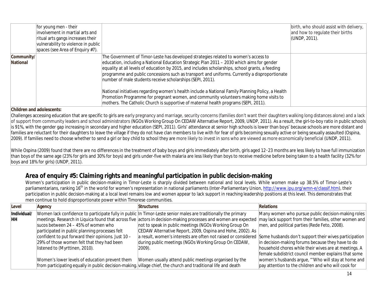|                        | for young men - their<br>involvement in martial arts and<br>ritual arts gangs increases their<br>vulnerability to violence in public<br>spaces (see Area of Enquiry #7). |                                                                                                                                                                                                                                                                                                                                                                                                                                                      | $\vert$ birth, who should assist with delivery, $\vert$<br>and how to regulate their births<br>(UNDP, 2011). |
|------------------------|--------------------------------------------------------------------------------------------------------------------------------------------------------------------------|------------------------------------------------------------------------------------------------------------------------------------------------------------------------------------------------------------------------------------------------------------------------------------------------------------------------------------------------------------------------------------------------------------------------------------------------------|--------------------------------------------------------------------------------------------------------------|
| Community/<br>National |                                                                                                                                                                          | The Government of Timor-Leste has developed strategies related to women's access to<br>education, including a National Education Strategic Plan 2011 – 2030 which aims for gender<br>equality at all levels of education by 2015, and includes scholarships, school grants, a feeding<br>programme and public concessions such as transport and uniforms. Currently a disproportionate<br>number of male students receive scholarships (SEPI, 2011). |                                                                                                              |
|                        |                                                                                                                                                                          | National initiatives regarding women's health include a National Family Planning Policy, a Health<br>Promotion Programme for pregnant women, and community volunteers making home visits to<br>mothers. The Catholic Church is supportive of maternal health programs (SEPI, 2011).                                                                                                                                                                  |                                                                                                              |

Challenges accessing education that are specific to girls are early pregnancy and marriage, security concerns (families don't want their daughters walking long distances alone) and a lack of support from community leaders and school administrators (NGOs Working Group On CEDAW Alternative Report, 2009, UNDP, 2011). As a result, the girl-to-boy ratio in public schools is 91%, with the gender gap increasing in secondary and higher education (SEPI, 2011). Girls' attendance at senior high schools is lower than boys' because schools are more distant and families are reluctant for their daughters to leave the village if they do not have clan members to live with for fear of girls becoming sexually active or being sexually assaulted (Ospina, 2009). If families need to choose whether to send a girl or boy child to school they are more likely to invest in sons who are viewed as more economically beneficial (UNDP, 2011).

While Ospina (2009) found that there are no differences in the treatment of baby boys and girls immediately after birth, girls aged 12-23 months are less likely to have full immunization than boys of the same age (23% for girls and 30% for boys) and girls under-five with malaria are less likely than boys to receive medicine before being taken to a health facility (32% for boys and 18% for girls) (UNDP, 2011).

## **Area of enquiry #5: Claiming rights and meaningful participation in public decision-making**

Women's participation in public decision-making in Timor-Leste is sharply divided between national and local levels. While women make up 38.5% of Timor-Leste's parliamentarians, ranking 16<sup>th</sup> in the world for women's representation in national parliaments (Inter-Parliamentary Union, http://www.ipu.org/wmn-e/classif.htm), their participation in public decision-making at a local level remains low and women appear to lack support in reaching leadership positions at this level. This demonstrates that men continue to hold disproportionate power within Timorese communities.

| Level       | Agency                                             | <b>Structures</b>                                                                                               | <b>Relations</b>                                      |
|-------------|----------------------------------------------------|-----------------------------------------------------------------------------------------------------------------|-------------------------------------------------------|
| Individual/ |                                                    | Women lack confidence to participate fully in public In Timor-Leste senior males are traditionally the primary  | Many women who pursue public decision-making roles    |
| <b>HH</b>   |                                                    | meetings. Research in Liquica found that across five actors in decision-making processes and women are expected | may lack support from their families, other women and |
|             | sucos between 24 - 45% of women who                | not to speak in public meetings (NGOs Working Group On                                                          | men, and political parties (Rede Feto, 2008).         |
|             | participated in public planning processes felt     | CEDAW Alternative Report, 2009, Ospina and Hohe, 2002). As                                                      |                                                       |
|             | confident to put forward their opinions. Just 10 - | a result, women's interests are often not raised or considered                                                  | Some husbands don't support their wives participation |
|             | 29% of those women felt that they had been         | during public meetings (NGOs Working Group On CEDAW,                                                            | in decision-making forums because they have to do     |
|             | listened to (Myrttinen, 2010).                     | $ 2009$ ).                                                                                                      | household chores while their wives are at meetings. A |
|             |                                                    |                                                                                                                 | female subdistrict council member explains that some  |
|             | Women's lower levels of education prevent them     | Women usually attend public meetings organised by the                                                           | women's husbands argue, "'Who will stay at home and   |
|             |                                                    | from participating equally in public decision-making. village chief, the church and traditional life and death  | pay attention to the children and who will cook for   |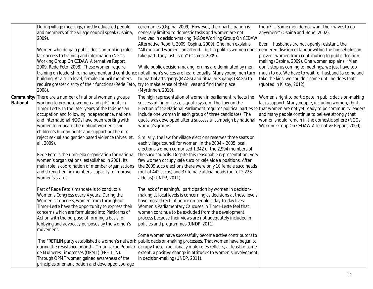|          | During village meetings, mostly educated people<br>and members of the village council speak (Ospina,<br>$ 2009$ ).<br>Women who do gain public decision-making roles<br>lack access to training and information (NGOs<br>Working Group On CEDAW Alternative Report,<br>2009, Rede Feto, 2008). These women require<br>building. At a suco level, female council members<br>require greater clarity of their functions (Rede Feto,<br>$ 2008$ ).                                                                                                                                                                                                                                                                                                                                                                                                                                                                                                                                                                                                                                                                                                                                                                                                                                                           | ceremonies (Ospina, 2009). However, their participation is<br>generally limited to domestic tasks and women are not<br>involved in decision-making (NGOs Working Group On CEDAW<br>Alternative Report, 2009, Ospina, 2009). One man explains,<br>"All men and women can attend but in politics women don't gendered division of labour within the household can<br>take part, they just listen" (Ospina, 2009).<br>While public decision-making forums are dominated by men,<br>training on leadership, management and confidence not all men's voices are heard equally. Many young men turn<br>to martial arts gangs (MAGs) and ritual arts gangs (RAGs) to<br>try to make sense of their lives and find their place<br>(Myrtinnen, 2010).                                                                                                                                                                                                                                                                                                                                                                                                                                                                                                                                                                                                                                                                                                                                                                                                                                                                  | them?' Some men do not want their wives to go<br>anywhere" (Ospina and Hohe, 2002).<br>Even if husbands are not openly resistant, the<br>prevent women from contributing to public decision-<br>making (Ospina, 2009). One woman explains, "Men<br>don't stop us coming to meetings, we just have too<br>much to do. We have to wait for husband to come and<br>take the kids, we couldn't come until he does that"<br>(quoted in Kilsby, 2012). |
|----------|-----------------------------------------------------------------------------------------------------------------------------------------------------------------------------------------------------------------------------------------------------------------------------------------------------------------------------------------------------------------------------------------------------------------------------------------------------------------------------------------------------------------------------------------------------------------------------------------------------------------------------------------------------------------------------------------------------------------------------------------------------------------------------------------------------------------------------------------------------------------------------------------------------------------------------------------------------------------------------------------------------------------------------------------------------------------------------------------------------------------------------------------------------------------------------------------------------------------------------------------------------------------------------------------------------------|---------------------------------------------------------------------------------------------------------------------------------------------------------------------------------------------------------------------------------------------------------------------------------------------------------------------------------------------------------------------------------------------------------------------------------------------------------------------------------------------------------------------------------------------------------------------------------------------------------------------------------------------------------------------------------------------------------------------------------------------------------------------------------------------------------------------------------------------------------------------------------------------------------------------------------------------------------------------------------------------------------------------------------------------------------------------------------------------------------------------------------------------------------------------------------------------------------------------------------------------------------------------------------------------------------------------------------------------------------------------------------------------------------------------------------------------------------------------------------------------------------------------------------------------------------------------------------------------------------------|--------------------------------------------------------------------------------------------------------------------------------------------------------------------------------------------------------------------------------------------------------------------------------------------------------------------------------------------------------------------------------------------------------------------------------------------------|
| National | <b>Community/</b> There are a number of national women's groups<br>working to promote women and girls' rights in<br>Timor-Leste. In the later years of the Indonesian<br>occupation and following independence, national<br>and international NGOs have been working with<br>women to educate them about women's and<br>children's human rights and supporting them to<br>reject sexual and gender-based violence (Alves, et.<br>al., 2009).<br>Rede Feto is the umbrella organisation for national<br>women's organisations, established in 2001. Its<br>main role is coordination of member organisations<br>and strengthening members' capacity to improve<br>women's status.<br>Part of Rede Feto's mandate is to conduct a<br>Women's Congress every 4 years. During the<br>Women's Congress, women from throughout<br>Timor-Leste have the opportunity to express their<br>concerns which are formulated into Platforms of<br>Action with the purpose of forming a basis for<br>lobbying and advocacy purposes by the women's<br>movement.<br>The FRETILIN party established a women's network<br>during the resistance period - Organização Popular<br>de Mulheres Timorenses (OPMT) (FRETILIN).<br>Through OPMT women gained awareness of the<br>principles of emancipation and developed courage | The high representation of women in parliament reflects the<br>success of Timor-Leste's quota system. The Law on the<br>Election of the National Parliament requires political parties to that women are not yet ready to be community leaders<br>include one woman in each group of three candidates. The<br>quota was developed after a successful campaign by national<br>women's groups.<br>Similarly, the law for village elections reserves three seats on<br>each village council for women. In the 2004 - 2005 local<br>elections women comprised 1,342 of the 2,994 members of<br>the suco councils. Despite this reasonable representation, very<br>few women occupy xefe suco or xefe aldeia positions. After<br>the 2009 suco elections there were only 10 female suco heads<br>(out of 442 sucos) and 37 female aldeia heads (out of 2,228<br>aldeias) (UNDP, 2011).<br>The lack of meaningful participation by women in decision-<br>making at local levels is concerning as decisions at these levels<br>have most direct influence on people's day-to-day lives.<br>Women's Parliamentary Caucuses in Timor-Leste feel that<br>women continue to be excluded from the development<br>process because their views are not adequately included in<br>policies and programmes (UNDP, 2011).<br>Some women have successfully become active contributors to<br>public decision-making processes. That women have begun to<br>occupy these traditionally male roles reflects, at least to some<br>extent, a positive change in attitudes to women's involvement<br>in decision-making (UNDP, 2011). | Women's right to participate in public decision-making<br>lacks support. Many people, including women, think<br>and many people continue to believe strongly that<br>women should remain in the domestic sphere (NGOs<br>Working Group On CEDAW Alternative Report, 2009).                                                                                                                                                                       |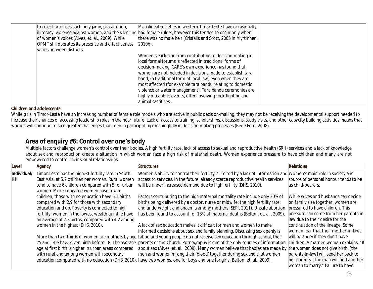| to reject practices such polygamy, prostitution,<br>of women's voices (Alves, et. al., 2009). While<br>OPMT still operates its presence and effectiveness<br>varies between districts. | Matrilineal societies in western Timor-Leste have occasionally<br>illiteracy, violence against women, and the silencing had female rulers, however this tended to occur only when<br>there was no male heir (Cristalis and Scott, 2005 in Myrtinnen,<br>2010b).                                                                                                                                                                                                                                                          |  |
|----------------------------------------------------------------------------------------------------------------------------------------------------------------------------------------|--------------------------------------------------------------------------------------------------------------------------------------------------------------------------------------------------------------------------------------------------------------------------------------------------------------------------------------------------------------------------------------------------------------------------------------------------------------------------------------------------------------------------|--|
|                                                                                                                                                                                        | Women's exclusion from contributing to decision-making in<br>local formal forums is reflected in traditional forms of<br>decision-making. CARE's own experience has found that<br>women are not included in decisions made to establish tara<br>band, (a traditional form of local law) even when they are<br>most affected (for example tara bandu relating to domestic<br>violence or water management). Tara bandu ceremonies are<br>highly masculine events, often involving cock-fighting and<br>animal sacrifices. |  |

While girls in Timor-Leste have an increasing number of female role models who are active in public decision-making, they may not be receiving the developmental support needed to increase their chances of accessing leadership roles in the near future. Lack of access to training, scholarships, discussions, study visits, and other capacity building activities means that women will continue to face greater challenges than men in participating meaningfully in decision-making processes (Rede Feto, 2008).

## **Area of enquiry #6: Control over one's body**

Multiple factors challenge women's control over their bodies. A high fertility rate, lack of access to sexual and reproductive health (SRH) services and a lack of knowledge about sex and reproduction create a situation in which women face a high risk of maternal death. Women experience pressure to have children and many are not empowered to control their sexual relationships.

| Level       | Agency                                                                                                                                                                                                                                                                                             | <b>Structures</b>                                                                                                                                                                                                                                                                                                                                                                                                                                                                                                                     | <b>Relations</b>                                                                                                                                                                                                                                                        |
|-------------|----------------------------------------------------------------------------------------------------------------------------------------------------------------------------------------------------------------------------------------------------------------------------------------------------|---------------------------------------------------------------------------------------------------------------------------------------------------------------------------------------------------------------------------------------------------------------------------------------------------------------------------------------------------------------------------------------------------------------------------------------------------------------------------------------------------------------------------------------|-------------------------------------------------------------------------------------------------------------------------------------------------------------------------------------------------------------------------------------------------------------------------|
| Individual/ | Timor-Leste has the highest fertility rate in South-                                                                                                                                                                                                                                               | Women's ability to control their fertility is limited by a lack of information and Women's main role in society and                                                                                                                                                                                                                                                                                                                                                                                                                   |                                                                                                                                                                                                                                                                         |
| HH          | East Asia, at 5.7 children per woman. Rural women<br>tend to have 6 children compared with 5 for urban<br>women. More educated women have fewer                                                                                                                                                    | access to services. In the future, already scarce reproductive health services<br>will be under increased demand due to high fertility (DHS, 2010).                                                                                                                                                                                                                                                                                                                                                                                   | source of personal honour tends to be<br>as child-bearers.                                                                                                                                                                                                              |
|             | children; those with no education have 6.1 births<br>compared with 2.9 for those with secondary<br>education and up. Poverty is connected to high<br>fertility; women in the lowest wealth quintile have<br>an average of 7.3 births, compared with 4.2 among<br>women in the highest (DHS, 2010). | Factors contributing to the high maternal mortality rate include only 30% of<br>births being delivered by a doctor, nurse or midwife; the high fertility rate;<br>and underweight and anaemia among mothers (SEPI, 2011). Unsafe abortion<br>has been found to account for 13% of maternal deaths (Belton, et. al., 2009).<br>A lack of sex education makes it difficult for men and women to make<br>informed decisions about sex and family planning. Discussing sex openly is                                                      | While wives and husbands can decide<br>on family size together, women are<br>pressured to have children. This<br>pressure can come from her parents-in-<br>law due to their desire for the<br>continuation of the lineage. Some<br>women fear that their mother-in-laws |
|             | age at first birth is higher in urban areas compared<br>with rural and among women with secondary<br>education compared with no education (DHS, 2010)                                                                                                                                              | More than two-thirds of women are mothers by age taboo and young people do not receive sex education through school, their<br>25 and 14% have given birth before 18. The average parents or the Church. Pornography is one of the only sources of information<br>about sex (Alves, et. al., 2009). Many women believe that babies are made by the woman does not give birth, [the<br>men and women mixing their 'blood' together during sex and that women<br>have two wombs, one for boys and one for girls (Belton, et. al., 2009). | will be angry if they don't have<br>children. A married woman explains, "If<br>parents-in-law] will send her back to<br>her parentsThe man will find another<br>woman to marry." Failure to have                                                                        |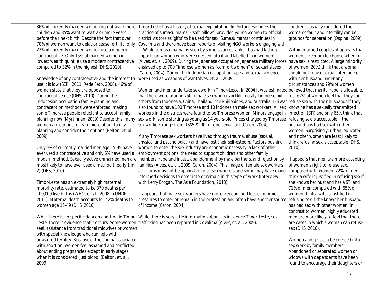| 36% of currently married women do not want more<br>children and 35% want to wait 2 or more years      | Timor-Leste has a history of sexual exploitation. In Portuguese times the<br>practice of sumasu mamar ('soft pillow') provided young women to official | children is usually considered the<br>woman's fault and infertility can be   |
|-------------------------------------------------------------------------------------------------------|--------------------------------------------------------------------------------------------------------------------------------------------------------|------------------------------------------------------------------------------|
| before their next birth. Despite the fact that over                                                   | district visitors as 'gifts' to be used for sex. Sumasu mamar continues in                                                                             | grounds for separation (Ospina, 2009).                                       |
| 70% of women want to delay or cease fertility, only<br>22% of currently married women use a modern    | Covalima and there have been reports of visiting NGO workers engaging with<br>it. While sumasu mamar is seen by some as acceptable it has had lasting  |                                                                              |
| contraceptive. Only 15% of married women in                                                           | impacts on women who were coerced into it and labelled 'bad women'                                                                                     | Within married couples, it appears that<br>women's freedom to choose when to |
| lowest wealth quintile use a modern contraceptive                                                     | (Alves, et. al., 2009). During the Japanese occupation Japanese military forces                                                                        | have sex is restricted. A large minority                                     |
| compared to 32% in the highest (DHS, 2010).                                                           | enslaved up to 700 Timorese women as "comfort women" or sexual slaves                                                                                  | of women (20%) think that a woman                                            |
|                                                                                                       | (Caron, 2004). During the Indonesian occupation rape and sexual violence                                                                               | should not refuse sexual intercourse                                         |
| Knowledge of any contraceptive and the interest to                                                    | were used as weapons of war (Alves, et. al., 2009).                                                                                                    | with her husband under any                                                   |
| use it is low (SEPI, 2011, Rede Feto, 2008). 46% of                                                   |                                                                                                                                                        | circumstances and 29% of women                                               |
| women state that they are opposed to                                                                  | Women and men undertake sex work in Timor-Leste. In 2004 it was estimated believed that marital rape is allowable.                                     |                                                                              |
| contraceptive use (DHS, 2010). During the                                                             | that there were around 250 female sex workers in Dili, mostly Timorese but                                                                             | Just 67% of women feel that they can                                         |
| Indonesian occupation family planning and                                                             | others from Indonesia, China, Thailand, the Philippines, and Australia. Dili was refuse sex with their husbands if they                                |                                                                              |
| contraception methods were enforced, making                                                           | also found to have 100 Timorese and 10 Indonesian male sex workers. All sex                                                                            | know he has a sexually transmitted                                           |
| some Timorese people reluctant to accept family                                                       | workers in the districts were found to be Timorese women. Minors engage in                                                                             | infection (STI) and only 65% think that                                      |
| planning now (Myrtinnen, 2009). Despite this, many                                                    | sex work, some starting as young as 14 years-old. Prices charged by Timorese                                                                           | refusing sex is acceptable if their<br>husband has had sex with other        |
| women are curious to learn more about family<br>planning and consider their options (Belton, et. al., | sex workers range from US\$5-\$200 for one sexual act (Caron, 2004).                                                                                   | women. Surprisingly, urban, educated                                         |
| 2009).                                                                                                | Many Timorese sex workers have lived through trauma, abuse (sexual,                                                                                    | and richer women are least likely to                                         |
|                                                                                                       | physical and psychological) and have lost their self-esteem. Factors pushing                                                                           | think refusing sex is acceptable (DHS,                                       |
| Only 9% of currently married men age 15-49 have                                                       | women to enter the sex industry are economic necessity, a lack of other                                                                                | 2010).                                                                       |
| ever used a contraceptive and only 6% have used a                                                     | employment options, the need to support children and other family                                                                                      |                                                                              |
|                                                                                                       | modern method. Sexually active unmarried men are members, rape and incest, abandonment by male partners, and rejection by                              | It appears that men are more accepting                                       |
| most likely to have ever used a method (nearly 1 in                                                   | families (Alves, et. al., 2009, Caron, 2004). This image of female sex workers                                                                         | of women's right to refuse sex,                                              |
| 2) (DHS, 2010).                                                                                       | as victims may not be applicable to all sex workers and some may have made                                                                             | compared with women. 72% of men                                              |
|                                                                                                       | informed decisions to enter into or remain in this type of work (Interview                                                                             | think a wife is justified in refusing sex if                                 |
| Timor-Leste has an extremely high maternal                                                            | with Kerry Brogan, The Asia Foundation, 2013).                                                                                                         | she knows her husband has a STI and                                          |
| mortality rate, estimated to be 370 deaths per                                                        |                                                                                                                                                        | 71% of men compared with 65% of                                              |
| 100,000 live births (WHO, et. al., 2008 in UNDP,<br>2011). Maternal death accounts for 42% deaths to  | It appears that male sex workers have more freedom and less economic<br>pressures to enter or remain in the profession and often have another source   | women think a wife is justified in<br>refusing sex if she knows her husband  |
| women age 15-49 (DHS, 2010).                                                                          | of income (Caron, 2004).                                                                                                                               | has had sex with other women. In                                             |
|                                                                                                       |                                                                                                                                                        | contrast to women, highly educated                                           |
|                                                                                                       | While there is no specific data on abortion in Timor- While there is very little information about its incidence Timor-Leste, sex                      | men are <i>more</i> likely to feel that there                                |
|                                                                                                       | Leste, there is evidence that it occurs. Some women trafficking has been reported in Covalima (Alves, et. al., 2009).                                  | are cases in which a woman can refuse                                        |
| seek assistance from traditional midwives or women                                                    |                                                                                                                                                        | sex (DHS, 2010).                                                             |
| with special knowledge who can help with                                                              |                                                                                                                                                        |                                                                              |
| unwanted fertility. Because of the stigma associated                                                  |                                                                                                                                                        | Women and girls can be coerced into                                          |
| with abortion, women feel ashamed and conflicted                                                      |                                                                                                                                                        | sex work by family members.                                                  |
| about ending pregnancies except in early stages                                                       |                                                                                                                                                        | Abandoned or separated women or                                              |
| when it is considered 'just blood' (Belton, et. al.,                                                  |                                                                                                                                                        | widows with dependents have been                                             |
| 2009).                                                                                                |                                                                                                                                                        | found to encourage their daughters or                                        |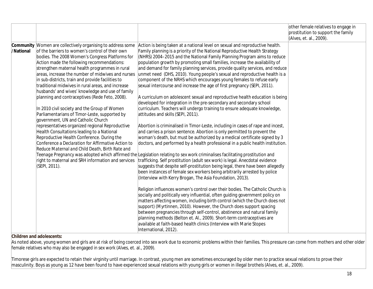|           |                                                                    |                                                                                                                              | other female relatives to engage in |
|-----------|--------------------------------------------------------------------|------------------------------------------------------------------------------------------------------------------------------|-------------------------------------|
|           |                                                                    |                                                                                                                              | prostitution to support the family  |
|           |                                                                    |                                                                                                                              | (Alves, et. al., 2009).             |
|           | <b>Community</b> Women are collectively organising to address some | Action is being taken at a national level on sexual and reproductive health.                                                 |                                     |
| /National | of the barriers to women's control of their own                    | Family planning is a priority of the National Reproductive Health Strategy                                                   |                                     |
|           | bodies. The 2008 Women's Congress Platforms for                    | (NHRS) 2004-2015 and the National Family Planning Program aims to reduce                                                     |                                     |
|           | Action made the following recommendations:                         | population growth by promoting small families, increase the availability of                                                  |                                     |
|           | strengthen maternal health programmes in rural                     | and demand for family planning services, provide quality services, and reduce                                                |                                     |
|           | areas, increase the number of midwives and nurses                  | unmet need (DHS, 2010). Young people's sexual and reproductive health is a                                                   |                                     |
|           | in sub-districts, train and provide facilities to                  | component of the NRHS which encourages young females to refuse early                                                         |                                     |
|           | traditional midwives in rural areas, and increase                  | sexual intercourse and increase the age of first pregnancy (SEPI, 2011).                                                     |                                     |
|           | husbands' and wives' knowledge and use of family                   |                                                                                                                              |                                     |
|           | planning and contraceptives (Rede Feto, 2008).                     | A curriculum on adolescent sexual and reproductive health education is being                                                 |                                     |
|           |                                                                    | developed for integration in the pre-secondary and secondary school                                                          |                                     |
|           | In 2010 civil society and the Group of Women                       | curriculum. Teachers will undergo training to ensure adequate knowledge,                                                     |                                     |
|           | Parliamentarians of Timor-Leste, supported by                      | attitudes and skills (SEPI, 2011).                                                                                           |                                     |
|           | government, UN and Catholic Church                                 |                                                                                                                              |                                     |
|           | representatives organized regional Reproductive                    | Abortion is criminalised in Timor-Leste, including in cases of rape and incest,                                              |                                     |
|           | Health Consultations leading to a National                         | and carries a prison sentence. Abortion is only permitted to prevent the                                                     |                                     |
|           | Reproductive Health Conference. During the                         | woman's death, but must be authorized by a medical certificate signed by 3                                                   |                                     |
|           | Conference a Declaration for Affirmative Action to                 | doctors, and performed by a health professional in a public health institution.                                              |                                     |
|           | Reduce Maternal and Child Death, Birth Rate and                    |                                                                                                                              |                                     |
|           |                                                                    | Teenage Pregnancy was adopted which affirmed the Legislation relating to sex work criminalises facilitating prostitution and |                                     |
|           | right to maternal and SRH information and services                 | trafficking. Self prostitution (adult sex work) is legal. Anecdotal evidence                                                 |                                     |
|           | (SEPI, 2011).                                                      | suggests that despite self-prostitution being legal, there have been allegedly                                               |                                     |
|           |                                                                    | been instances of female sex workers being arbitrarily arrested by police                                                    |                                     |
|           |                                                                    | (Interview with Kerry Brogan, The Asia Foundation, 2013).                                                                    |                                     |
|           |                                                                    |                                                                                                                              |                                     |
|           |                                                                    | Religion influences women's control over their bodies. The Catholic Church is                                                |                                     |
|           |                                                                    | socially and politically very influential, often guiding government policy on                                                |                                     |
|           |                                                                    | matters affecting women, including birth control (which the Church does not                                                  |                                     |
|           |                                                                    | support) (Myrtinnen, 2010). However, the Church does support spacing                                                         |                                     |
|           |                                                                    | between pregnancies through self-control, abstinence and natural family                                                      |                                     |
|           |                                                                    | planning methods (Belton et. Al., 2009). Short-term contraceptives are                                                       |                                     |
|           |                                                                    | available at faith-based health clinics (Interview with Marie Stopes                                                         |                                     |
|           |                                                                    | International, 2012).                                                                                                        |                                     |

As noted above, young women and girls are at risk of being coerced into sex work due to economic problems within their families. This pressure can come from mothers and other older female relatives who may also be engaged in sex work (Alves, et. al., 2009).

Timorese girls are expected to retain their virginity until marriage. In contrast, young men are sometimes encouraged by older men to practice sexual relations to prove their masculinity. Boys as young as 12 have been found to have experienced sexual relations with young girls or women in illegal brothels (Alves, et. al., 2009).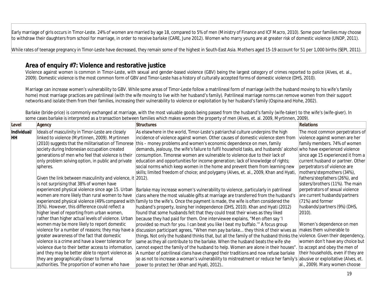Early marriage of girls occurs in Timor-Leste. 24% of women are married by age 18, compared to 5% of men (Ministry of Finance and ICF Macro, 2010). Some poor families may choose to withdraw their daughters from school for marriage, in order to receive *barlake* (CARE, June 2012). Women who marry young are at greater risk of domestic violence (UNDP, 2011).

While rates of teenage pregnancy in Timor-Leste have decreased, they remain some of the highest in South-East Asia. Mothers aged 15-19 account for 51 per 1,000 births (SEPI, 2011).

## **Area of enquiry #7: Violence and restorative justice**

Violence against women is common in Timor-Leste, with sexual and gender-based violence (GBV) being the largest category of crimes reported to police (Alves, et. al., 2009). Domestic violence is the most common form of GBV and Timor-Leste has a history of culturally accepted forms of domestic violence (DHS, 2010).

Marriage can increase women's vulnerability to GBV. While some areas of Timor-Leste follow a matrilineal form of marriage (with the husband moving to his wife's family home) most marriage practices are patrilineal (with the wife moving to live with her husband's family). Patrilineal marriage norms can remove women from their support networks and isolate them from their families, increasing their vulnerability to violence or exploitation by her husband's family (Ospina and Hohe, 2002).

| Level       | Agency                                                               | <b>Structures</b>                                                                                                        | <b>Relations</b>                    |
|-------------|----------------------------------------------------------------------|--------------------------------------------------------------------------------------------------------------------------|-------------------------------------|
| Individual/ | Ideals of masculinity in Timor-Leste are closely                     | As elsewhere in the world, Timor-Leste's patriarchal culture underpins the high                                          | The most common perpetrators of     |
| HН          | linked to violence (Myrtinnen, 2009). Myrtinnen                      | incidence of violence against women. Other causes of domestic violence stem from                                         | violence against women are her      |
|             | (2010) suggests that the militarisation of Timorese                  | this - money problems and women's economic dependence on men, family                                                     | family members. 74% of women        |
|             | society during Indonesian occupation created                         | demands, jealousy, the wife's failure to fulfil household tasks, and husbands' alcohol                                   | who have experienced violence       |
|             | generations of men who feel that violence is their                   | consumption. Timorese women are vulnerable to violence due to their lack of                                              | since age 15 experienced it from a  |
|             | only problem solving option, in public and private                   | education and opportunities for income generation; lack of knowledge of rights;                                          | current husband or partner. Other   |
|             | spheres.                                                             | social norms which keep women in the home and prevent them from learning new                                             | perpetrators of violence are        |
|             |                                                                      | skills; limited freedom of choice; and polygamy (Alves, et. al., 2009, Khan and Hyati,                                   | mothers/stepmothers (34%),          |
|             | Given the link between masculinity and violence, it $ 2012\rangle$ . |                                                                                                                          | fathers/stepfathers (26%), and      |
|             | is not surprising that 38% of women have                             |                                                                                                                          | sisters/brothers (11%). The main    |
|             | experienced physical violence since age 15. Urban                    | Barlake may increase women's vulnerability to violence, particularly in patrilineal                                      | perpetrators of sexual violence     |
|             | women are more likely than rural women to have                       | clans where the most valuable gifts at marriage are transferred from the husband's                                       | are current husbands/partners       |
|             | experienced physical violence (49% compared with                     | family to the wife's. Once the payment is made, the wife is often considered the                                         | (71%) and former                    |
|             | 35%). However, this difference could reflect a                       | husband's property, losing her independence (DHS, 2010). Khan and Hyati (2012)                                           | husbands/partners (9%) (DHS,        |
|             | higher level of reporting from urban women,                          | found that some husbands felt that they could treat their wives as they liked                                            | $ 2010\rangle$ .                    |
|             | rather than higher actual levels of violence. Urban                  | because they had paid for them. One interviewee explains, "Men often say 'l                                              |                                     |
|             | women may be more likely to report domestic                          | provided so much for you. I can beat you like I beat my buffalo." A focus group                                          | Women's dependence on men           |
|             | violence for a number of reasons; they may have a                    | discussion participant agrees, "When men pay barlake they think of their wives as                                        | makes them vulnerable to            |
|             | greater awareness of the fact that domestic                          | things. Not only the husband thinks that, but all the family of the husband thinks the violence. Given their dependency, |                                     |
|             | violence is a crime and have a lower tolerance for                   | same as they all contribute to the <i>barlake</i> . When the husband beats the wife she                                  | women don't have any choice but     |
|             | violence due to their better access to information,                  | cannot expect the family of the husband to help. Women are alone in their houses"                                        | to accept and obey the men of       |
|             | and they may be better able to report violence as                    | A number of patrilineal clans have changed their traditions and now refuse barlake                                       | their households, even if they are  |
|             | they are geographically closer to formal                             | so as not to increase a woman's vulnerability to mistreatment or reduce her family's                                     | abusive or exploitative (Alves, et. |
|             | authorities. The proportion of women who have                        | power to protect her (Khan and Hyati, 2012)                                                                              | al., 2009). Many women choose       |
|             |                                                                      |                                                                                                                          |                                     |

*Barlake* (bride-price) is commonly exchanged at marriage, with the most valuable goods being passed from the husband's family (wife-taker) to the wife's (wife-giver). In some cases *barlake* is interpreted as a transaction between families which makes women the property of men (Alves, et. al. 2009, Myrtinnen, 2009).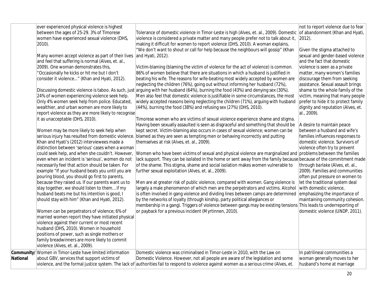| ever experienced physical violence is highest<br>between the ages of 25-29. 3% of Timorese<br>Tolerance of domestic violence in Timor-Leste is high (Alves, et. al., 2009). Domestic<br>women have experienced sexual violence (DHS,<br>violence is considered a private matter and many people prefer not to talk about it,<br>$ 2012$ ).<br>making it difficult for women to report violence (DHS, 2010). A woman explains,<br>2010).<br>"We don't want to shout or call for help because the neighbours will gossip" (Khan<br>Given the stigma attached to<br>Many women accept violence as part of their lives<br>and Hyati, 2012).<br>and feel that suffering is normal (Alves, et. al.,<br>and the fact that domestic<br>2009). One woman demonstrates this,<br>Victim-blaming (blaming the victim of violence for the act of violence) is common.<br>violence is seen as a private<br>"Occasionally he kicks or hit me but I don't<br>86% of women believe that there are situations in which a husband is justified in<br>consider it violence" (Khan and Hyati, 2012).<br>beating his wife. The reasons for wife-beating most widely accepted by women are<br>discourage them from seeking<br>neglecting the children (76%), going out without informing her husband (72%),<br>Discussing domestic violence is taboo. As such, just arguing with her husband (64%), burning the food (43%) and denying sex (30%).<br>24% of women experiencing violence seek help.<br>Men also feel that domestic violence is justifiable in some circumstances, the most<br>Only 4% women seek help from police. Educated,<br>widely accepted reasons being neglecting the children (71%), arguing with husband<br>wealthier, and urban women are more likely to<br>(44%), burning the food (38%) and refusing sex (27%) (DHS, 2010).<br>report violence as they are more likely to recognise<br>al., 2009).<br>it as unacceptable (DHS, 2010).<br>Timorese women who are victims of sexual violence experience shame and stigma.<br>Having been sexually assaulted is seen as disgraceful and something that should be<br>A desire to maintain peace<br>kept secret. Victim-blaming also occurs in cases of sexual violence; women can be<br>Women may be more likely to seek help when<br>serious injury has resulted from domestic violence.<br>blamed as they are seen as tempting men or behaving incorrectly and putting<br>Khan and Hyati's (2012) interviewees made a<br>themselves at risk (Alves, et. al., 2009).<br>distinction between 'serious' cases when a woman<br>violence often try to prevent<br>Women who have been victims of sexual and physical violence are marginalized and<br>could seek help, and when she couldn't. However,<br>lack support. They can be isolated in the home or sent away from the family because because of the commitment made<br>even when an incident is 'serious', women do not<br>necessarily feel that action should be taken. For<br>of the shame. This stigma, shame and social isolation makes women vulnerable to<br>through barlake (Alves, et. al.,<br>further sexual exploitation (Alves, et. al., 2009).<br>example "If your husband beats you until you are<br>pouring blood, you should go first to parents,<br>because they raised us. If our parents want us to<br>Men are at greater risk of public violence, compared with women. Gang violence is<br>let the traditional system deal<br>largely a male phenomenon of which men are the perpetrators and victims. Alcohol<br>stay together, we should listen to them if my<br>with domestic violence,<br>husband beats me but his intention is good, I<br>is often involved in gang violence and dividing lines between camps are determined<br>by the networks of loyalty (through kinship, party political allegiances or<br>should stay with him" (Khan and Hyati, 2012).<br>membership in a gang). Triggers of violence between gangs may be existing tensions This leads to underreporting of<br>Women can be perpetrators of violence; 6% of<br>or payback for a previous incident (Myrtinnen, 2010).<br>married women report they have initiated physical<br>violence against their current or most recent<br>husband (DHS, 2010). Women in household<br>positions of power, such as single mothers or<br>family breadwinners are more likely to commit<br>violence (Alves, et. al., 2009). |  |                                                                                                                                                                                                                                                                                                                                                                                                                                                                                                                                                                                                                                                          |
|-----------------------------------------------------------------------------------------------------------------------------------------------------------------------------------------------------------------------------------------------------------------------------------------------------------------------------------------------------------------------------------------------------------------------------------------------------------------------------------------------------------------------------------------------------------------------------------------------------------------------------------------------------------------------------------------------------------------------------------------------------------------------------------------------------------------------------------------------------------------------------------------------------------------------------------------------------------------------------------------------------------------------------------------------------------------------------------------------------------------------------------------------------------------------------------------------------------------------------------------------------------------------------------------------------------------------------------------------------------------------------------------------------------------------------------------------------------------------------------------------------------------------------------------------------------------------------------------------------------------------------------------------------------------------------------------------------------------------------------------------------------------------------------------------------------------------------------------------------------------------------------------------------------------------------------------------------------------------------------------------------------------------------------------------------------------------------------------------------------------------------------------------------------------------------------------------------------------------------------------------------------------------------------------------------------------------------------------------------------------------------------------------------------------------------------------------------------------------------------------------------------------------------------------------------------------------------------------------------------------------------------------------------------------------------------------------------------------------------------------------------------------------------------------------------------------------------------------------------------------------------------------------------------------------------------------------------------------------------------------------------------------------------------------------------------------------------------------------------------------------------------------------------------------------------------------------------------------------------------------------------------------------------------------------------------------------------------------------------------------------------------------------------------------------------------------------------------------------------------------------------------------------------------------------------------------------------------------------------------------------------------------------------------------------------------------------------------------------------------------------------------------------------------------------------------------------------------------------------------------------------------------------------------------------------------------------------------------------------------------------------------------------------------------------------------------------------------------------------------------------------------------------------------------------------------------------------------------------------------------------------------------------------------------------------------------------------------------------------------------------------------------------------------------|--|----------------------------------------------------------------------------------------------------------------------------------------------------------------------------------------------------------------------------------------------------------------------------------------------------------------------------------------------------------------------------------------------------------------------------------------------------------------------------------------------------------------------------------------------------------------------------------------------------------------------------------------------------------|
|                                                                                                                                                                                                                                                                                                                                                                                                                                                                                                                                                                                                                                                                                                                                                                                                                                                                                                                                                                                                                                                                                                                                                                                                                                                                                                                                                                                                                                                                                                                                                                                                                                                                                                                                                                                                                                                                                                                                                                                                                                                                                                                                                                                                                                                                                                                                                                                                                                                                                                                                                                                                                                                                                                                                                                                                                                                                                                                                                                                                                                                                                                                                                                                                                                                                                                                                                                                                                                                                                                                                                                                                                                                                                                                                                                                                                                                                                                                                                                                                                                                                                                                                                                                                                                                                                                                                                                                                                 |  | not to report violence due to fear<br>of abandonment (Khan and Hyati,<br>sexual and gender-based violence<br>matter, many women's families<br>assistance. Sexual assault brings<br>shame to the whole family of the<br>victim, meaning that many people<br>prefer to hide it to protect family<br>dignity and reputation (Alves, et.<br>between a husband and wife's<br>families influences responses to<br>domestic violence. Survivors of<br>problems between the families<br>2009). Families and communities<br>often put pressure on women to<br>emphasizing the importance of<br>maintaining community cohesion.<br>domestic violence (UNDP, 2011). |
| Community/Women in Timor-Leste have limited information<br>Domestic violence was criminalised in Timor-Leste in 2010, with the Law on<br>In patrilineal communities a<br>about GBV, services that support victims of<br>Domestic Violence. However, not all people are aware of the legislation and some<br><b>National</b><br>husband's home at marriage<br>violence, and the formal justice system. The lack of authorities fail to respond to violence against women as a serious crime (Alves, et.                                                                                                                                                                                                                                                                                                                                                                                                                                                                                                                                                                                                                                                                                                                                                                                                                                                                                                                                                                                                                                                                                                                                                                                                                                                                                                                                                                                                                                                                                                                                                                                                                                                                                                                                                                                                                                                                                                                                                                                                                                                                                                                                                                                                                                                                                                                                                                                                                                                                                                                                                                                                                                                                                                                                                                                                                                                                                                                                                                                                                                                                                                                                                                                                                                                                                                                                                                                                                                                                                                                                                                                                                                                                                                                                                                                                                                                                                                          |  | woman generally moves to her                                                                                                                                                                                                                                                                                                                                                                                                                                                                                                                                                                                                                             |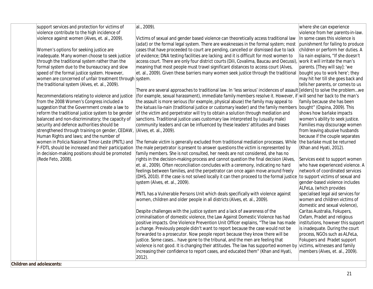| support services and protection for victims of          | al., 2009).                                                                                                              | where she can experience                  |
|---------------------------------------------------------|--------------------------------------------------------------------------------------------------------------------------|-------------------------------------------|
| violence contribute to the high incidence of            |                                                                                                                          | violence from her parents-in-law.         |
| violence against women (Alves, et. al., 2009).          | Victims of sexual and gender based violence can theoretically access traditional law                                     | In some cases this violence is            |
|                                                         | (adat) or the formal legal system. There are weaknesses in the formal system; most                                       | punishment for failing to produce         |
| Women's options for seeking justice are                 | cases that have proceeded to court are pending, cancelled or dismissed due to lack                                       | children or perform her duties. A         |
| inadequate. Many women choose to seek justice           | of evidence; DNA testing facilities are lacking; and it is difficult for most women to                                   | <i>lia nain</i> explains, "If she doesn't |
| through the traditional system rather than the          | access court. There are only four district courts (Dili, Covalima, Baucau and Oecussi),                                  | work it will irritate the man's           |
| formal system due to the bureaucracy and slow           | meaning that most people must travel significant distances to access court (Alves,                                       | parents. [They will say]: 'we             |
| speed of the formal justice system. However,            | et. al., 2009). Given these barriers many women seek justice through the traditional                                     | bought you to work here'; they            |
| women are concerned of unfair treatment through system. |                                                                                                                          | may hit her till she goes back and        |
| the traditional system (Alves, et. al., 2009).          |                                                                                                                          | tells her parents, or comes to us         |
|                                                         | There are several approaches to traditional law. In 'less serious' incidences of assault [elders] to solve the problemwe |                                           |
| Recommendations relating to violence and justice        | (for example, sexual harassment), immediate family members resolve it. However, if will send her back to the man's       |                                           |
| from the 2008 Women's Congress included a               | the assault is more serious (for example, physical abuse) the family may appeal to                                       | family because she has been               |
| suggestion that the Government create a law to          | the katuas lia-nain (traditional justice or customary leader) and the family members  bought" (Ospina, 2009). This       |                                           |
| reform the traditional justice system to be gender      | of the victim and perpetrator will try to obtain a solution through mediation and                                        | shows how barlake impacts                 |
| balanced and non-discriminatory; the capacity of        | sanctions. Traditional justice uses customary law interpreted by (usually male)                                          | women's ability to seek justice.          |
| security and defence authorities should be              | community leaders and can be influenced by these leaders' attitudes and biases                                           | Families may discourage women             |
| strengthened through training on gender, CEDAW,         | (Alves, et. al., 2009).                                                                                                  | from leaving abusive husbands             |
| Human Rights and laws; and the number of                |                                                                                                                          | because if the couple separates           |
| women in Policia Nasional Timor-Leste (PNTL) and        | The female victim is generally excluded from traditional mediation processes. While                                      | the barlake must be returned              |
| F-FDTL should be increased and their participation      | the male perpetrator is present to answer questions the victim is represented by                                         | Khan and Hyati, 2012).                    |
| in decision-making positions should be promoted         | family members. She is not consulted, her needs are not considered, she has no                                           |                                           |
| (Rede Feto, 2008).                                      | rights in the decision-making process and cannot question the final decision (Alves,                                     | Services exist to support women           |
|                                                         | et. al., 2009). Often reconciliation concludes with a ceremony, indicating no hard                                       | who have experienced violence. A          |
|                                                         | feelings between families, and the perpetrator can once again move around freely                                         | network of coordinated services           |
|                                                         | (DHS, 2010). If the case is not solved locally it can then proceed to the formal justice                                 | to support victims of sexual and          |
|                                                         | system (Alves, et. al., 2009).                                                                                           | gender-based violence includes            |
|                                                         |                                                                                                                          | ALFeLa, (which provides                   |
|                                                         | PNTL has a Vulnerable Persons Unit which deals specifically with violence against                                        | specialised legal aid services for        |
|                                                         | women, children and older people in all districts (Alves, et. al., 2009).                                                | women and children victims of             |
|                                                         |                                                                                                                          | domestic and sexual violence),            |
|                                                         | Despite challenges with the justice system and a lack of awareness of the                                                | Caritas Australia, Fokupers,              |
|                                                         | criminalisation of domestic violence, the Law Against Domestic Violence has had                                          | Oxfam, Pradet and religious               |
|                                                         | positive impacts. One Violence Prevention Unit Officer explains, "The law has made                                       | institutions, however this support        |
|                                                         | a change. Previously people didn't want to report because the case would not be                                          | is inadequate. During the court           |
|                                                         | forwarded to a prosecutor. Now people report because they know there will be                                             | process, NGOs such as ALFeLa,             |
|                                                         | justice. Some cases have gone to the tribunal, and the men are feeling that                                              | Fokupers and Pradet support               |
|                                                         | violence is not good. It is changing their attitudes. The law has supported women by                                     | victims, witnesses and family             |
|                                                         | increasing their confidence to report cases, and educated them" (Khan and Hyati,                                         | members (Alves, et. al., 2009).           |
|                                                         | $ 2012$ ).                                                                                                               |                                           |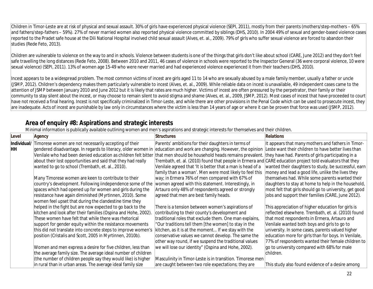Children in Timor-Leste are at risk of physical and sexual assault. 30% of girls have experienced physical violence (SEPI, 2011), mostly from their parents (mothers/step-mothers – 65% and fathers/step-fathers – 59%). 27% of never married women also reported physical violence committed by siblings (DHS, 2010). In 2004 49% of sexual and gender-based violence cases reported to the Pradet safe house at the Dili National Hospital involved child sexual assault (Alves, et. al., 2009). 79% of girls who suffer sexual violence are forced to abandon their studies (Rede Feto, 2013).

Children are vulnerable to violence on the way to and in schools. Violence between students is one of the things that girls don't like about school (CARE, June 2012) and they don't feel safe travelling the long distances (Rede Feto, 2008). Between 2010 and 2011, 46 cases of violence in schools were reported to the Inspector General (36 were corporal violence, 10 were sexual violence) (SEPI, 2011). 13% of women age 15-49 who were never married and had experienced violence experienced it from their teachers (DHS, 2010).

Incest appears to be a widespread problem. The most common victims of incest are girls aged 11 to 14 who are sexually abused by a male family member, usually a father or uncle (JSMP, 2012). Children's dependency makes them particularly vulnerable to incest (Alves, et. al., 2009). While reliable data on incest is unavailable, 49 independent cases came to the attention of JSMP between January 2010 and June 2012 but it is likely that rates are much higher. Victims of incest are often pressured by the perpetrator, their family or their community to stay silent about the incest, or may choose to remain silent to avoid stigma and shame (Alves, et. al., 2009, JSMP, 2012). Most cases of incest that have proceeded to court have not received a final hearing. Incest is not specifically criminalized in Timor-Leste, and while there are other provisions in the Penal Code which can be used to prosecute incest, they are inadequate. Acts of incest are punishable by law only in circumstances where the victim is less than 14 years of age or where it can be proven that force was used (JSMP, 2012).

## **Area of enquiry #8: Aspirations and strategic interests**

Minimal information is publically available outlining women and men's aspirations and strategic interests for themselves and their children.

| Level | Agency                                                            | <b>Structures</b>                                                                                         | <b>Relations</b>                                       |
|-------|-------------------------------------------------------------------|-----------------------------------------------------------------------------------------------------------|--------------------------------------------------------|
|       | Individual/ Timorese women are not necessarily accepting of their | Parents' ambitions for their daughters in terms of                                                        | It appears that many mothers and fathers in Timor-     |
| HH    | gendered disadvantage. In regards to literacy, older women in     | education and work are changing. However, the opinion                                                     | Leste want their children to have better lives than    |
|       | Venilale who had been denied education as children felt bitter    | that men should be household heads remains prevalent. they have had. Parents of girls participating in a  |                                                        |
|       | about their lost opportunities and said that they had really      | Trembath, et. al. (2010) found that people in Ermera and CARE education project told evaluators that they |                                                        |
|       | wanted to go to school (Trembath, et. al., 2010).                 | Venilale agreed that 'It is better that a man is head of a                                                | wanted their daughters to study, be successful, earn   |
|       |                                                                   | family than a woman'. Men were most likely to feel this                                                   | money and lead a good life, unlike the lives they      |
|       | Many Timorese women are keen to contribute to their               | way; in Ermera 76% of men compared with 67% of                                                            | themselves had. While some parents wanted their        |
|       | country's development. Following iindependence some of the        | women agreed with this statement. Interestingly, in                                                       | daughters to stay at home to help in the household,    |
|       | spaces which had opened up for women and girls during the         | Artauro only 48% of respondents agreed or strongly                                                        | most felt that girls should go to university, get good |
|       | resistance have again diminished (Myrtinnen, 2010). Some          | agreed that men are best family heads.                                                                    | jobs and support their families (CARE, June 2012).     |
|       | women feel upset that during the clandestine time they            |                                                                                                           |                                                        |
|       | helped in the fight but are now expected to go back to the        | There is a tension between women's aspirations of                                                         | This appreciation of higher education for girls is     |
|       | kitchen and look after their families (Ospina and Hohe, 2002).    | contributing to their county's development and                                                            | reflected elsewhere. Trembath, et. al. (2010) found    |
|       | These women have felt that while there was rhetorical             | traditional roles that exclude them. One man explains,                                                    | that most respondents in Ermera, Artauro and           |
|       | support for gender equity within the resistance movements         | "Our traditions tell them [the women] to stay in the                                                      | Venilale wanted both boys and girls to go to           |
|       | this did not translate into concrete steps to improve women's     | kitchen, as it is at the moment If we stay with the                                                       | university. In some cases, parents valued higher       |
|       | position (Cristalis and Scott, 2005 in Myrtinnen, 2010b).         | conservative values we cannot develop. The same the                                                       | education more for girls than for boys. In Venilale,   |
|       |                                                                   | other way round, if we suspend the traditional values                                                     | 77% of respondents wanted their female children to     |
|       | Women and men express a desire for five children, less than       | we will lose our identity" (Ospina and Hohe, 2002).                                                       | go to university compared with 68% for male            |
|       | the average family size. The average ideal number of children     |                                                                                                           | children.                                              |
|       | (the number of children people say they would like) is higher     | Masculinity in Timor-Leste is in transition. Timorese men                                                 |                                                        |
|       | in rural than in urban areas. The average ideal family size       | are caught between two role expectations; they are                                                        | This study also found evidence of a desire among       |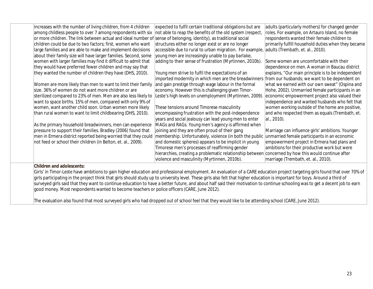| increases with the number of living children, from 4 children                                                                                                                 | expected to fulfil certain traditional obligations but are                                          | adults (particularly mothers) for changed gender    |
|-------------------------------------------------------------------------------------------------------------------------------------------------------------------------------|-----------------------------------------------------------------------------------------------------|-----------------------------------------------------|
| among childless people to over 7 among respondents with six                                                                                                                   | not able to reap the benefits of the old system (respect,                                           | roles. For example, on Artauro Island, no female    |
| or more children. The link between actual and ideal number of                                                                                                                 | sense of belonging, identity), as traditional social                                                | respondents wanted their female children to         |
| children could be due to two factors; first, women who want                                                                                                                   | structures either no longer exist or are no longer                                                  | primarily fulfill household duties when they became |
| large families and are able to make and implement decisions                                                                                                                   | accessible due to rural to urban migration. For example,                                            | adults (Trembath, et. al., 2010).                   |
| about their family size will have larger families. Second, some                                                                                                               | young men are increasingly unable to pay barlake,                                                   |                                                     |
| women with larger families may find it difficult to admit that                                                                                                                | adding to their sense of frustration (Myrtinnen, 2010b).                                            | Some women are uncomfortable with their             |
| they would have preferred fewer children and may say that                                                                                                                     |                                                                                                     | dependence on men. A woman in Baucau district       |
| they wanted the number of children they have (DHS, 2010).                                                                                                                     | Young men strive to fulfil the expectations of an                                                   | explains, "Our main principle is to be independent  |
|                                                                                                                                                                               | imported modernity in which men are the breadwinners                                                | from our husbands; we want to be dependent on       |
| Women are more likely than men to want to limit their family                                                                                                                  | and gain prestige through wage labour in the formal                                                 | what we earned with our own sweat" (Ospina and      |
| size. 36% of women do not want more children or are                                                                                                                           | economy. However this is challenging given Timor-                                                   | Hohe, 2002). Unmarried female participants in an    |
| sterilized compared to 23% of men. Men are also less likely to                                                                                                                | Leste's high levels on unemployment (Myrtinnen, 2009).                                              | economic empowerment project also valued their      |
| want to space births. 15% of men, compared with only 9% of                                                                                                                    |                                                                                                     | independence and wanted husbands who felt that      |
| women, want another child soon. Urban women more likely                                                                                                                       | These tensions around Timorese masculinity                                                          | women working outside of the home are positive,     |
| than rural women to want to limit childbearing (DHS, 2010).                                                                                                                   | encompassing frustration with the post-independence                                                 | and who respected them as equals (Trembath, et.     |
|                                                                                                                                                                               | years and social jealousy can lead young men to enter                                               | al., 2010).                                         |
| As the primary household breadwinners, men can experience                                                                                                                     | MAGs and RAGs. Young men's agency is affirmed when                                                  |                                                     |
| pressure to support their families. Bradley (2006) found that                                                                                                                 | joining and they are often proud of their gang                                                      | Marriage can influence girls' ambitions. Younger    |
| men in Ermera district reported being worried that they could                                                                                                                 | membership. Unfortunately, violence (in both the public                                             | unmarried female participants in an economic        |
| not feed or school their children (in Belton, et. al., 2009).                                                                                                                 | and domestic spheres) appears to be implicit in young                                               | empowerment project in Ermera had plans and         |
|                                                                                                                                                                               | Timorese men's processes of reaffirming gender                                                      | ambitions for their productive work but were        |
|                                                                                                                                                                               | hierarchies, creating a problematic relationship between concerned by how this would continue after |                                                     |
|                                                                                                                                                                               | violence and masculinity (Myrtinnen, 2010b).                                                        | marriage (Trembath, et. al., 2010).                 |
| <b>Children and adolescents:</b>                                                                                                                                              |                                                                                                     |                                                     |
| Girls' in Timor-Leste have ambitions to gain higher education and professional employment. An evaluation of a CARE education project targeting girls found that over 70% of   |                                                                                                     |                                                     |
| girls participating in the project think that girls should study up to university level. These girls also felt that higher education is important for boys. Around a third of |                                                                                                     |                                                     |
| surveyed girls said that they want to continue education to have a better future, and about half said their motivation to continue schooling was to get a decent job to earn  |                                                                                                     |                                                     |
| good money. Most respondents wanted to become teachers or police officers (CARE, June 2012).                                                                                  |                                                                                                     |                                                     |
|                                                                                                                                                                               |                                                                                                     |                                                     |
|                                                                                                                                                                               |                                                                                                     |                                                     |

The evaluation also found that most surveyed girls who had dropped out of school feel that they would like to be attending school (CARE, June 2012).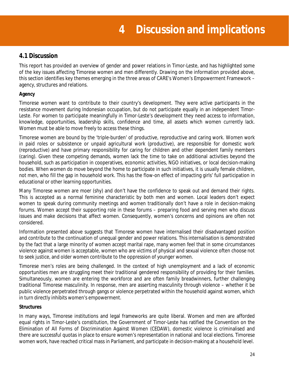## **4.1 Discussion**

This report has provided an overview of gender and power relations in Timor-Leste, and has highlighted some of the key issues affecting Timorese women and men differently. Drawing on the information provided above, this section identifies key themes emerging in the three areas of CARE's Women's Empowerment Framework – agency, structures and relations.

## **Agency**

Timorese women want to contribute to their country's development. They were active participants in the resistance movement during Indonesian occupation, but do not participate equally in an independent Timor-Leste. For women to participate meaningfully in Timor-Leste's development they need access to information, knowledge, opportunities, leadership skills, confidence and time, all assets which women currently lack. Women must be able to move freely to access these things.

Timorese women are bound by the 'triple-burden' of productive, reproductive and caring work. Women work in paid roles or subsistence or unpaid agricultural work (productive), are responsible for domestic work (reproductive) and have primary responsibility for caring for children and other dependent family members (caring). Given these competing demands, women lack the time to take on additional activities beyond the household, such as participation in cooperatives, economic activities, NGO initiatives, or local decision-making bodies. When women do move beyond the home to participate in such initiatives, it is usually female children, not men, who fill the gap in household work. This has the flow-on effect of impacting girls' full participation in educational or other learning opportunities.

Many Timorese women are *moer* (shy) and don't have the confidence to speak out and demand their rights. This is accepted as a normal feminine characteristic by both men and women. Local leaders don't expect women to speak during community meetings and women traditionally don't have a role in decision-making forums. Women accept their supporting role in these forums – preparing food and serving men who discuss issues and make decisions that affect women. Consequently, women's concerns and opinions are often not considered.

Information presented above suggests that Timorese women have internalised their disadvantaged position and contribute to the continuation of unequal gender and power relations. This internalisation is demonstrated by the fact that a large minority of women accept marital rape, many women feel that in some circumstances violence against women is acceptable, women who are victims of physical and sexual violence often choose not to seek justice, and older women contribute to the oppression of younger women.

Timorese men's roles are being challenged. In the context of high unemployment and a lack of economic opportunities men are struggling meet their traditional gendered responsibility of providing for their families. Simultaneously, women are entering the workforce and are often family breadwinners, further challenging traditional Timorese masculinity. In response, men are asserting masculinity through violence – whether it be public violence perpetrated through gangs or violence perpetrated within the household against women, which in turn directly inhibits women's empowerment.

## **Structures**

In many ways, Timorese institutions and legal frameworks are quite liberal. Women and men are afforded equal rights in Timor-Leste's constitution, the Government of Timor-Leste has ratified the Convention on the Elimination of All Forms of Discrimination Against Women (CEDAW), domestic violence is criminalised and there are successful quotas in place to ensure women's representation in national and local elections. Timorese women work, have reached critical mass in Parliament, and participate in decision-making at a household level.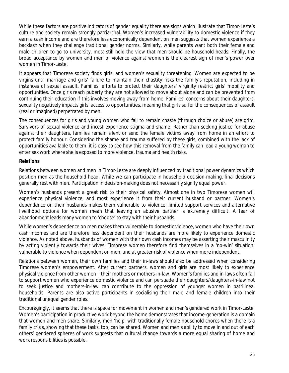While these factors are positive indicators of gender equality there are signs which illustrate that Timor-Leste's culture and society remain strongly patriarchal. Women's increased vulnerability to domestic violence if they earn a cash income and are therefore less economically dependent on men suggests that women experience a backlash when they challenge traditional gender norms. Similarly, while parents want both their female and male children to go to university, most still hold the view that men should be household heads. Finally, the broad acceptance by women and men of violence against women is the clearest sign of men's power over women in Timor-Leste.

It appears that Timorese society finds girls' and women's sexuality threatening. Women are expected to be virgins until marriage and girls' failure to maintain their chastity risks the family's reputation, including in instances of sexual assault. Families' efforts to protect their daughters' virginity restrict girls' mobility and opportunities. Once girls reach puberty they are not allowed to move about alone and can be prevented from continuing their education if this involves moving away from home. Families' concerns about their daughters' sexuality negatively impacts girls' access to opportunities, meaning that girls suffer the consequences of assault (real or imagined) perpetrated by men.

The consequences for girls and young women who fail to remain chaste (through choice or abuse) are grim. Survivors of sexual violence and incest experience stigma and shame. Rather than seeking justice for abuse against their daughters, families remain silent or send the female victims away from home in an effort to protect family honour. Considering the shame and trauma suffered by these girls, combined with the lack of opportunities available to them, it is easy to see how this removal from the family can lead a young woman to enter sex work where she is exposed to more violence, trauma and health risks.

#### **Relations**

Relations between women and men in Timor-Leste are deeply influenced by traditional power dynamics which position men as the household head. While we can participate in household decision-making, final decisions generally rest with men. Participation in decision-making does not necessarily signify equal power.

Women's husbands present a great risk to their physical safety. Almost one in two Timorese women will experience physical violence, and most experience it from their current husband or partner. Women's dependence on their husbands makes them vulnerable to violence; limited support services and alternative livelihood options for women mean that leaving an abusive partner is extremely difficult. A fear of abandonment leads many women to 'choose' to stay with their husbands.

While women's dependence on men makes them vulnerable to domestic violence, women who have their own cash incomes and are therefore *less* dependent on their husbands are *more* likely to experience domestic violence. As noted above, husbands of women with their own cash incomes may be asserting their masculinity by acting violently towards their wives. Timorese women therefore find themselves in a 'no-win' situation; vulnerable to violence when dependent on men, and at greater risk of violence when more independent.

Relations between women, their own families and their in-laws should also be addressed when considering Timorese women's empowerment. After current partners, women and girls are most likely to experience physical violence from other women – their mothers or mothers-in-law. Women's families and in-laws often fail to support women who experience domestic violence and can persuade their daughters/daughters-in-law not to seek justice and mothers-in-law can contribute to the oppression of younger women in patrilineal households. Parents are also active participants in socialising their male and female children into their traditional unequal gender roles.

Encouragingly, it seems that there is space for movement in women and men's gendered work in Timor-Leste. Women's participation in productive work beyond the home demonstrates that income-generation is a domain that women and men share. Similarly, men 'help' with traditionally female household chores when there is a family crisis, showing that these tasks, too, can be shared. Women and men's ability to move in and out of each others' gendered spheres of work suggests that cultural change towards a more equal sharing of home and work responsibilities is possible.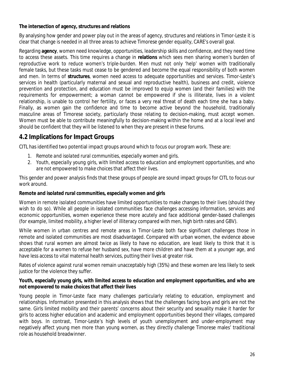## **The intersection of agency, structures and relations**

By analysing how gender and power play out in the areas of agency, structures and relations in Timor-Leste it is clear that change is needed in all three areas to achieve Timorese gender equality, CARE's overall goal.

Regarding **agency**, women need knowledge, opportunities, leadership skills and confidence, and they need *time* to access these assets. This time requires a change in **relations** which sees men sharing women's burden of reproductive work to reduce women's triple-burden. Men must not only 'help' women with traditionally female tasks, but these tasks must cease to be gendered and become the equal responsibility of both women and men. In terms of **structures**, women need access to adequate opportunities and services. Timor-Leste's services in health (particularly maternal and sexual and reproductive health), business and credit, violence prevention and protection, and education must be improved to equip women (and their families) with the requirements for empowerment; a woman cannot be empowered if she is illiterate, lives in a violent relationship, is unable to control her fertility, or faces a very real threat of death each time she has a baby. Finally, as women gain the confidence and time to become active beyond the household, traditionally masculine areas of Timorese society, particularly those relating to decision-making, must accept women. Women must be able to contribute meaningfully to decision-making within the home and at a local level and should be confident that they will be listened to when they are present in these forums.

## **4.2 Implications for Impact Groups**

CITL has identified two potential impact groups around which to focus our program work. These are:

- 1. *Remote and isolated rural communities, especially women and girls.*
- 2. *Youth, especially young girls, with limited access to education and employment opportunities, and who are not empowered to make choices that affect their lives.*

This gender and power analysis finds that these groups of people are sound impact groups for CITL to focus our work around.

## **Remote and isolated rural communities, especially women and girls**

Women in remote isolated communities have limited opportunities to make changes to their lives (should they wish to do so). While all people in isolated communities face challenges accessing information, services and economic opportunities, women experience these more acutely and face additional gender-based challenges (for example, limited mobility, a higher level of illiteracy compared with men, high birth rates and GBV).

While women in urban centres and remote areas in Timor-Leste both face significant challenges those in remote and isolated communities are most disadvantaged. Compared with urban women, the evidence above shows that rural women are almost twice as likely to have no education, are least likely to think that it is acceptable for a women to refuse her husband sex, have more children and have them at a younger age, and have less access to vital maternal health services, putting their lives at greater risk.

Rates of violence against rural women remain unacceptably high (35%) and these women are less likely to seek justice for the violence they suffer.

#### **Youth, especially young girls, with limited access to education and employment opportunities, and who are not empowered to make choices that affect their lives**

Young people in Timor-Leste face many challenges particularly relating to education, employment and relationships. Information presented in this analysis shows that the challenges facing boys and girls are not the same. Girls limited mobility and their parents' concerns about their security and sexuality make it harder for girls to access higher education and academic and employment opportunities beyond their villages, compared with boys. In contrast, Timor-Leste's high levels of youth unemployment and under-employment may negatively affect young men more than young women, as they directly challenge Timorese males' traditional role as household breadwinner.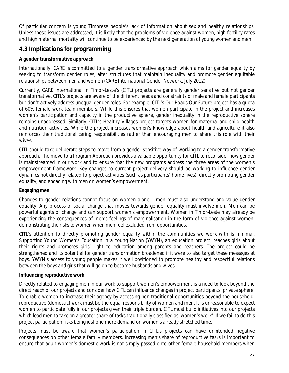Of particular concern is young Timorese people's lack of information about sex and healthy relationships. Unless these issues are addressed, it is likely that the problems of violence against women, high fertility rates and high maternal mortality will continue to be experienced by the next generation of young women and men.

## **4.3 Implications for programming**

## **A gender transformative approach**

Internationally, CARE is committed to a *gender transformative* approach which aims for gender equality by seeking to transform gender roles, alter structures that maintain inequality and promote gender equitable relationships between men and women (CARE International Gender Network, July 2012).

Currently, CARE International in Timor-Leste's (CITL) projects are generally gender sensitive but not gender transformative. CITL's projects are aware of the different needs and constraints of male and female participants but don't actively address unequal gender roles. For example, CITL's Our Roads Our Future project has a quota of 60% female work team members. While this ensures that women participate in the project and increases women's participation and capacity in the productive sphere, gender inequality in the reproductive sphere remains unaddressed. Similarly, CITL's Healthy Villages project targets women for maternal and child health and nutrition activities. While the project increases women's knowledge about health and agriculture it also reinforces their traditional caring responsibilities rather than encouraging men to share this role with their wives.

CITL should take deliberate steps to move from a gender sensitive way of working to a gender transformative approach. The move to a Program Approach provides a valuable opportunity for CITL to reconsider how gender is mainstreamed in our work and to ensure that the new programs address the three areas of the women's empowerment framework. Key changes to current project delivery should be working to influence gender dynamics not directly related to project activities (such as participants' home lives), directly promoting gender equality, and engaging with men on women's empowerment.

## **Engaging men**

Changes to gender relations cannot focus on women alone – men must also understand and value gender equality. Any process of social change that moves towards gender equality must involve men. Men can be powerful agents of change and can support women's empowerment. Women in Timor-Leste may already be experiencing the consequences of men's feelings of marginalisation in the form of violence against women, demonstrating the risks to women when men feel excluded from opportunities.

CITL's attention to directly promoting gender equality within the communities we work with is minimal. Supporting Young Women's Education in a Young Nation (YWYN), an education project, teaches girls about their rights and promotes girls' right to education among parents and teachers. The project could be strengthened and its potential for gender transformation broadened if it were to also target these messages at boys. YWYN's access to young people makes it well positioned to promote healthy and respectful relations between the boys and girls that will go on to become husbands and wives.

## **Influencing reproductive work**

Directly related to engaging men in our work to support women's empowerment is a need to look beyond the direct reach of our projects and consider how CITL can influence changes in project participants' private sphere. To enable women to increase their agency by accessing non-traditional opportunities beyond the household, reproductive (domestic) work must be the equal responsibility of women and men. It is unreasonable to expect women to participate fully in our projects given their triple burden. CITL must build initiatives into our projects which lead men to take on a greater share of tasks traditionally classified as 'women's work'. If we fail to do this project participation risks being just one more demand on women's already stretched time.

Projects must be aware that women's participation in CITL's projects can have unintended negative consequences on other female family members. Increasing men's share of reproductive tasks is important to ensure that adult women's domestic work is not simply passed onto other female household members when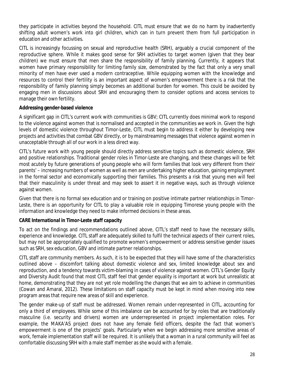they participate in activities beyond the household. CITL must ensure that we do no harm by inadvertently shifting adult women's work into girl children, which can in turn prevent them from full participation in education and other activities.

CITL is increasingly focussing on sexual and reproductive health (SRH), arguably a crucial component of the reproductive sphere. While it makes good sense for SRH activities to target women (given that they bear children) we must ensure that men share the responsibility of family planning. Currently, it appears that women have primary responsibility for limiting family size, demonstrated by the fact that only a very small minority of men have ever used a modern contraceptive. While equipping women with the knowledge and resources to control their fertility is an important aspect of women's empowerment there is a risk that the responsibility of family planning simply becomes an additional burden for women. This could be avoided by engaging men in discussions about SRH and encouraging them to consider options and access services to manage their own fertility.

## **Addressing gender-based violence**

A significant gap in CITL's current work with communities is GBV; CITL currently does minimal work to respond to the violence against women that is normalised and accepted in the communities we work in. Given the high levels of domestic violence throughout Timor-Leste, CITL must begin to address it either by developing new projects and activities that combat GBV directly, or by mainstreaming messages that violence against women in unacceptable through all of our work in a less direct way.

CITL's future work with young people should directly address sensitive topics such as domestic violence, SRH and positive relationships. Traditional gender roles in Timor-Leste are changing, and these changes will be felt most acutely by future generations of young people who will form families that look very different from their parents' – increasing numbers of women as well as men are undertaking higher education, gaining employment in the formal sector and economically supporting their families. This presents a risk that young men will feel that their masculinity is under threat and may seek to assert it in negative ways, such as through violence against women.

Given that there is no formal sex education and or training on positive intimate partner relationships in Timor-Leste, there is an opportunity for CITL to play a valuable role in equipping Timorese young people with the information and knowledge they need to make informed decisions in these areas.

## **CARE International in Timor-Leste staff capacity**

To act on the findings and recommendations outlined above, CITL's staff need to have the necessary skills, experience and knowledge. CITL staff are adequately skilled to fulfil the technical aspects of their current roles, but may not be appropriately qualified to promote women's empowerment or address sensitive gender issues such as SRH, sex education, GBV and intimate partner relationships.

CITL staff *are* community members. As such, it is to be expected that they will have some of the characteristics outlined above – discomfort talking about domestic violence and sex, limited knowledge about sex and reproduction, and a tendency towards victim-blaming in cases of violence against women. CITL's Gender Equity and Diversity Audit found that most CITL staff feel that gender equality is important at work but unrealistic at home, demonstrating that they are not yet role modelling the changes that we aim to achieve in communities (Cowan and Amaral, 2012). These limitations on staff capacity must be kept in mind when moving into new program areas that require new areas of skill and experience.

The gender make-up of staff must be addressed. Women remain under-represented in CITL, accounting for only a third of employees. While some of this imbalance can be accounted for by roles that are traditionally masculine (i.e. security and drivers) women are underrepresented in project implementation roles. For example, the MAKA'AS project does not have any female field officers, despite the fact that women's empowerment is one of the projects' goals. Particularly when we begin addressing more sensitive areas of work, female implementation staff will be required. It is unlikely that a woman in a rural community will feel as comfortable discussing SRH with a male staff member as she would with a female.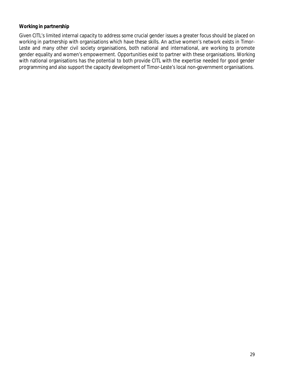#### **Working in partnership**

Given CITL's limited internal capacity to address some crucial gender issues a greater focus should be placed on working in partnership with organisations which have these skills. An active women's network exists in Timor-Leste and many other civil society organisations, both national and international, are working to promote gender equality and women's empowerment. Opportunities exist to partner with these organisations. Working with national organisations has the potential to both provide CITL with the expertise needed for good gender programming and also support the capacity development of Timor-Leste's local non-government organisations.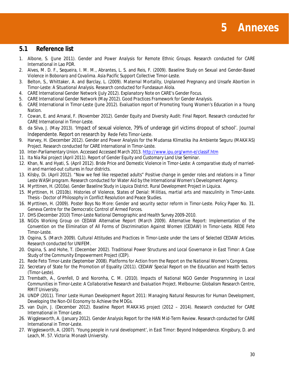

## **5.1 Reference list**

- 1. Albone, S. (June 2011). *Gender and Power Analysis for Remote Ethnic Groups*. Research conducted for CARE International in Lao PDR.
- 2. Alves, M. D. F., Sequeira, I. M. M., Abrantes, L. S. and Reis, F. (2009). *Baseline Study on Sexual and Gender-Based Violence in Bobonaro and Covalima.* Asia Pacific Support Collective Timor-Leste.
- 3. Belton, S., Whittaker, A. and Barclay, L. (2009). *Maternal Mortality, Unplanned Pregnancy and Unsafe Abortion in Timor-Leste: A Situational Analysis.* Research conducted for Fundasaun Alola.
- 4. CARE International Gender Network (July 2012). *Explanatory Note on CARE's Gender Focus.*
- 5. CARE International Gender Network (May 2012). *Good Practices Framework for Gender Analysis.*
- 6. CARE International in Timor-Leste (June 2012). *Evaluation report of Promoting Young Women's Education in a Young Nation.*
- 7. Cowan, E. and Amaral, F. (November 2012). *Gender Equity and Diversity Audit: Final Report*. Research conducted for CARE International in Timor-Leste.
- 8. da Silva, J. (May 2013). 'Impact of sexual violence, 79% of underage girl victims dropout of school'. *Journal Independente.* Report on research by Rede Feto Timor-Leste.
- 9. Harvey, H. (December 2012). *Gender and Power Analysis for the Mudansa Klimatika iha Ambiente Seguru (MAKA'AS) Project.* Research conducted for CARE International in Timor-Leste.
- 10. Inter-Parliamentary Union. Accessed Accessed March 2013. http://www.ipu.org/wmn-e/classif.htm
- 11. Ita Nia Rai project (April 2011). *Report of Gender Equity and Customary Land Use Seminar.*
- 12. Khan, N. and Hyati, S. (April 2012). *Bride Price and Domestic Violence in Timor-Leste: A comparative study of marriedin and married-out cultures in four districts.*
- 13. Kilsby, Di. (April 2012). *"Now we feel like respected adults" Positive change in gender roles and relations in a Timor Leste WASH program.* Research conducted for Water Aid by the International Women's Development Agency.
- 14. Myrttinen, H. (2010a). *Gender Baseline Study in Liquica District. Rural Development Project in Liquica*.
- 15. Myrttinen, H. (2010b). *Histories of Violence, States of Denial: Militias, martial arts and masculinity in Timor-Leste.*  Thesis - Doctor of Philosophy in Conflict Resolution and Peace Studies.
- 16. Myrttinen, H. (2009). *Poster Boys No More: Gender and security sector reform in Timor-Leste.* Policy Paper No. 31. Geneva Centre for the Democratic Control of Armed Forces.
- 17. DHS (December 2010) *Timor-Leste National Demographic and Health Survey 2009-2010.*
- 18. NGOs Working Group on CEDAW Alternative Report (March 2009). *Alternative Report: Implementation of the Convention on the Elimination of All Forms of Discrimination Against Women (CEDAW) In Timor-Leste.* REDE Feto Timor-Leste.
- 19. Ospina, S. (March 2009). *Cultural Attitudes and Practices in Timor-Leste under the Lens of Selected CEDAW Articles.* Research conducted for UNIFEM.
- 20. Ospina, S. and Hohe, T. (December 2002). *Traditional Power Structures and Local Governance in East Timor: A Case Study of the Community Empowerment Project (CEP).*
- 21. Rede Feto Timor-Leste (September 2008). *Platforms for Action from the Report on the National Women's Congress.*
- 22. Secretary of State for the Promotion of Equality (2011). *CEDAW Special Report on the Education and Health Sectors (Timor-Leste)*.
- 23. Trembath, A., Grenfell, D and Noronha, C. M. (2010). *Impacts of National NGO Gender Programming in Local Communities in Timor-Leste: A Collaborative Research and Evaluation Project.* Melbourne: Globalism Research Centre, RMIT University.
- 24. UNDP (2011). *Timor Leste Human Development Report 2011: Managing Natural Resources for Human Development, Developing the Non-Oil Economy to Achieve the MDGs.*
- 25. van Dujin, J. (December 2012). *Baseline Report MAKA'AS project (2012 – 2014)*. Research conducted for CARE International in Timor-Leste.
- 26. Wigglesworth, A. (January 2012). *Gender Analysis Report for the HAN Mid-Term Review*. Research conducted for CARE International in Timor-Leste.
- 27. Wigglesworth, A. (2007). 'Young people in rural development', in *East Timor: Beyond Independence*. Kingsbury, D. and Leach, M. 57. Victoria: Monash University.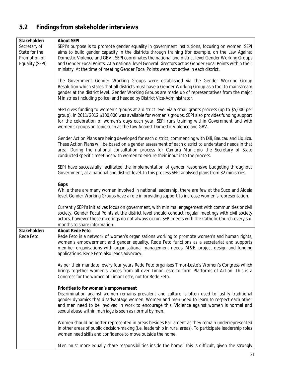# **5.2 Findings from stakeholder interviews**

| Stakeholder:                                                     | <b>About SEPI</b>                                                                                                                                                                                                                                                                                                                                                                                                                                                                                              |
|------------------------------------------------------------------|----------------------------------------------------------------------------------------------------------------------------------------------------------------------------------------------------------------------------------------------------------------------------------------------------------------------------------------------------------------------------------------------------------------------------------------------------------------------------------------------------------------|
| Secretary of<br>State for the<br>Promotion of<br>Equality (SEPI) | SEPI's purpose is to promote gender equality in government institutions, focusing on women. SEPI<br>aims to build gender capacity in the districts through training (for example, on the Law Against<br>Domestic Violence and GBV). SEPI coordinates the national and district level Gender Working Groups<br>and Gender Focal Points. At a national level General Directors act as Gender Focal Points within their<br>ministry. At the time of meeting Gender Focal Points were not active in each district. |
|                                                                  | The Government Gender Working Groups were established via the Gender Working Group<br>Resolution which states that all districts must have a Gender Working Group as a tool to mainstream<br>gender at the district level. Gender Working Groups are made up of representatives from the major<br>Ministries (including police) and headed by District Vice-Administrator.                                                                                                                                     |
|                                                                  | SEPI gives funding to women's groups at a district level via a small grants process (up to \$5,000 per<br>group). In 2011/2012 \$100,000 was available for women's groups. SEPI also provides funding support<br>for the celebration of women's days each year. SEPI runs training within Government and with<br>women's groups on topic such as the Law Against Domestic Violence and GBV.                                                                                                                    |
|                                                                  | Gender Action Plans are being developed for each district, commencing with Dili, Baucau and Liquica.<br>These Action Plans will be based on a gender assessment of each district to understand needs in that<br>area. During the national consultation process for Camara Municipio the Secretary of State<br>conducted specific meetings with women to ensure their input into the process.                                                                                                                   |
|                                                                  | SEPI have successfully facilitated the implementation of gender responsive budgeting throughout<br>Government, at a national and district level. In this process SEPI analysed plans from 32 ministries.                                                                                                                                                                                                                                                                                                       |
|                                                                  | Gaps<br>While there are many women involved in national leadership, there are few at the Suco and Aldeia<br>level. Gender Working Groups have a role in providing support to increase women's representation.                                                                                                                                                                                                                                                                                                  |
|                                                                  | Currently SEPI's initiatives focus on government, with minimal engagement with communities or civil<br>society. Gender Focal Points at the district level should conduct regular meetings with civil society<br>actors, however these meetings do not always occur. SEPI meets with the Catholic Church every six-<br>months to share information.                                                                                                                                                             |
| Stakeholder:<br>Rede Feto                                        | <b>About Rede Feto</b><br>Rede Feto is a network of women's organisations working to promote women's and human rights,<br>women's empowerment and gender equality. Rede Feto functions as a secretariat and supports<br>member organisations with organisational management needs, M&E, project design and funding<br>applications. Rede Feto also leads advocacy.                                                                                                                                             |
|                                                                  | As per their mandate, every four years Rede Feto organises Timor-Leste's Women's Congress which<br>brings together women's voices from all over Timor-Leste to form Platforms of Action. This is a<br>Congress for the women of Timor-Leste, not for Rede Feto.                                                                                                                                                                                                                                                |
|                                                                  | Priorities to for women's empowerment<br>Discrimination against women remains prevalent and culture is often used to justify traditional<br>gender dynamics that disadvantage women. Women and men need to learn to respect each other<br>and men need to be involved in work to encourage this. Violence against women is normal and<br>sexual abuse within marriage is seen as normal by men.                                                                                                                |
|                                                                  | Women should be better represented in areas besides Parliament as they remain underrepresented<br>in other areas of public decision-making (i.e. leadership in rural areas). To participate leadership roles<br>women need skills and confidence to move outside the home.                                                                                                                                                                                                                                     |
|                                                                  | Men must more equally share responsibilities inside the home. This is difficult, given the strongly                                                                                                                                                                                                                                                                                                                                                                                                            |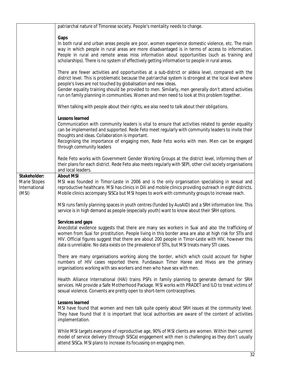|                                                        | patriarchal nature of Timorese society. People's mentality needs to change.                                                                                                                                                                                                                                                                                                                                                                                                            |
|--------------------------------------------------------|----------------------------------------------------------------------------------------------------------------------------------------------------------------------------------------------------------------------------------------------------------------------------------------------------------------------------------------------------------------------------------------------------------------------------------------------------------------------------------------|
|                                                        |                                                                                                                                                                                                                                                                                                                                                                                                                                                                                        |
|                                                        | Gaps<br>In both rural and urban areas people are poor, women experience domestic violence, etc. The main<br>way in which people in rural areas are more disadvantaged is in terms of access to information.<br>People in rural and remote areas miss information about opportunities (such as training and<br>scholarships). There is no system of effectively getting information to people in rural areas.                                                                           |
|                                                        | There are fewer activities and opportunities at a sub-district or aldeia level, compared with the<br>district level. This is problematic because the patriarchal system is strongest at the local level where<br>people's lives are not touched by globalisation and new ideas.<br>Gender equality training should be provided to men. Similarly, men generally don't attend activities<br>run on family planning in communities. Women and men need to look at this problem together. |
|                                                        | When talking with people about their rights, we also need to talk about their obligations.                                                                                                                                                                                                                                                                                                                                                                                             |
|                                                        | <b>Lessons learned</b><br>Communication with community leaders is vital to ensure that activities related to gender equality<br>can be implemented and supported. Rede Feto meet regularly with community leaders to invite their<br>thoughts and ideas. Collaboration is important.<br>Recognising the importance of engaging men, Rede Feto works with men. Men can be engaged<br>through community leaders                                                                          |
|                                                        | Rede Feto works with Government Gender Working Groups at the district level, informing them of<br>their plans for each district. Rede Feto also meets regularly with SEPI, other civil society organisations<br>and local leaders.                                                                                                                                                                                                                                                     |
| Stakeholder:<br>Marie Stopes<br>International<br>(MSI) | <b>About MSI</b><br>MSI was founded in Timor-Leste in 2006 and is the only organisation specialising in sexual and<br>reproductive healthcare. MSI has clinics in Dili and mobile clinics providing outreach in eight districts.<br>Mobile clinics accompany SISCa but MSI hopes to work with community groups to increase reach.                                                                                                                                                      |
|                                                        | MSI runs family planning spaces in youth centres (funded by AusAID) and a SRH information line. This<br>service is in high demand as people (especially youth) want to know about their SRH options.                                                                                                                                                                                                                                                                                   |
|                                                        | Services and gaps                                                                                                                                                                                                                                                                                                                                                                                                                                                                      |
|                                                        | Anecdotal evidence suggests that there are many sex workers in Suai and also the trafficking of<br>women from Suai for prostitution. People living in this border area are also at high risk for STIs and<br>HIV. Official figures suggest that there are about 200 people in Timor-Leste with HIV, however this<br>data is unreliable. No data exists on the prevalence of STIs, but MSI treats many STI cases.                                                                       |
|                                                        | There are many organisations working along the border, which which could account for higher<br>numbers of HIV cases reported there. Fundasaun Timor Haree and Hivos are the primary<br>organisations working with sex workers and men who have sex with men.                                                                                                                                                                                                                           |
|                                                        | Health Alliance International (HAI) trains PSFs in family planning to generate demand for SRH<br>services. HAI provide a Safe Motherhood Package. MSI works with PRADET and ILO to treat victims of<br>sexual violence. Convents are pretty open to short-term contraceptives.                                                                                                                                                                                                         |
|                                                        | <b>Lessons learned</b><br>MSI have found that women and men talk quite openly about SRH issues at the community level.<br>They have found that it is important that local authorities are aware of the content of activities<br>implementation.                                                                                                                                                                                                                                        |
|                                                        | While MSI targets everyone of reproductive age, 90% of MSI clients are women. Within their current<br>model of service delivery (through SISCa) engagement with men is challenging as they don't usually<br>attend SISCa. MSI plans to increase its focussing on engaging men.                                                                                                                                                                                                         |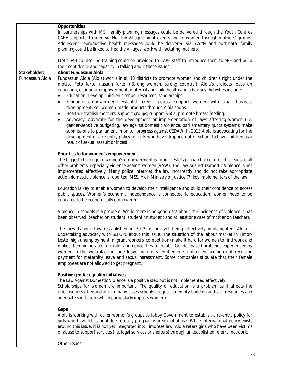|                 | <b>Opportunities</b>                                                                                                                                                                                       |
|-----------------|------------------------------------------------------------------------------------------------------------------------------------------------------------------------------------------------------------|
|                 | In partnerships with MSI, family planning messages could be delivered through the Youth Centres                                                                                                            |
|                 | CARE supports, to men via Healthy Villages' night events and to women through mothers' groups.                                                                                                             |
|                 | Adolescent reproductive health messages could be delivered via YWYN and post-natal family                                                                                                                  |
|                 | planning could be linked to Healthy Villages' work with lactating mothers.                                                                                                                                 |
|                 | MSI's SRH counselling training could be provided to CARE staff to introduce them to SRH and build                                                                                                          |
|                 | their confidence and capacity in talking about these issues.                                                                                                                                               |
| Stakeholder:    | <b>About Fundasaun Alola</b>                                                                                                                                                                               |
| Fundasaun Alola | Fundasaun Alola (Alola) works in all 13 districts to promote women and children's right under the                                                                                                          |
|                 | motto, 'Feto forte, nasaun forte' ('Strong woman, strong country'). Alola's projects focus on                                                                                                              |
|                 | education, economic empowerment, maternal and child health and advocacy. Activities include:                                                                                                               |
|                 | Education: Develop children's school resources; scholarships.                                                                                                                                              |
|                 | Economic empowerment: Establish credit groups; support women with small business<br>$\bullet$                                                                                                              |
|                 | development; sell women-made products through Alola shops.                                                                                                                                                 |
|                 | Health: Establish mothers' support groups; support SISCa; promote breast-feeding.<br>٠                                                                                                                     |
|                 | Advocacy: Advocate for the development or implementation of laws affecting women (i.e.<br>gender-sensitive budgeting, law against domestic violence, parliamentary quota system); make                     |
|                 | submissions to parliament; monitor progress against CEDAW. In 2013 Alola is advocating for the                                                                                                             |
|                 | development of a re-entry policy for girls who have dropped out of school to have children as a                                                                                                            |
|                 | result of sexual assault or incest.                                                                                                                                                                        |
|                 |                                                                                                                                                                                                            |
|                 | Priorities to for women's empowerment                                                                                                                                                                      |
|                 | The biggest challenge to women's empowerment is Timor-Leste's patriarchal culture. This leads to all                                                                                                       |
|                 | other problems, especially violence against women (VAW). The Law Against Domestic Violence is not                                                                                                          |
|                 | implemented effectively. Many police interpret the law incorrectly and do not take appropriate<br>action domestic violence is reported. MSS, MoH Ministry of Justice (?) key implementers of the law.      |
|                 |                                                                                                                                                                                                            |
|                 | Education is key to enable women to develop their intelligence and build their confidence to access                                                                                                        |
|                 | public spaces. Women's economic independence is connected to education; women need to be                                                                                                                   |
|                 | educated to be economically empowered.                                                                                                                                                                     |
|                 |                                                                                                                                                                                                            |
|                 | Violence in schools is a problem. While there is no good data about the incidence of violence it has<br>been observed (teacher on student, student on student and at least one case of mother on teacher). |
|                 |                                                                                                                                                                                                            |
|                 | The new Labour Law (established in 2012) is not yet being effectively implemented. Alola is                                                                                                                |
|                 | undertaking advocacy with SEFOPE about this issue. The situation of the labour market in Timor-                                                                                                            |
|                 | Leste (high unemployment, migrant workers, competition) make it hard for women to find work and                                                                                                            |
|                 | makes them vulnerable to exploitation once they're in jobs. Gender-based problems experienced by                                                                                                           |
|                 | women in the workplace include leave maternity entitlements not given, women not receiving                                                                                                                 |
|                 | payment for maternity leave and sexual harassment. Some companies stipulate that their female                                                                                                              |
|                 | employees are not allowed to get pregnant.                                                                                                                                                                 |
|                 | Positive gender equality initiatives                                                                                                                                                                       |
|                 | The Law Against Domestic Violence is a positive step but is not implemented effectively.                                                                                                                   |
|                 | Scholarships for women are important. The quality of education is a problem as it affects the                                                                                                              |
|                 | effectiveness of education. In many cases schools are just an empty building and lack resources and                                                                                                        |
|                 | adequate sanitation (which particularly impacts women).                                                                                                                                                    |
|                 |                                                                                                                                                                                                            |
|                 | Gaps                                                                                                                                                                                                       |
|                 | Alola is working with other women's groups to lobby Government to establish a re-entry policy for<br>girls who have left school due to early pregnancy or sexual abuse. While international policy exists  |
|                 | around this issue, it is not yet integrated into Timorese law. Alola refers girls who have been victims                                                                                                    |
|                 | of abuse to support services (i.e. legal services or shelters) through an established referral network.                                                                                                    |
|                 |                                                                                                                                                                                                            |
|                 | Other issues:                                                                                                                                                                                              |